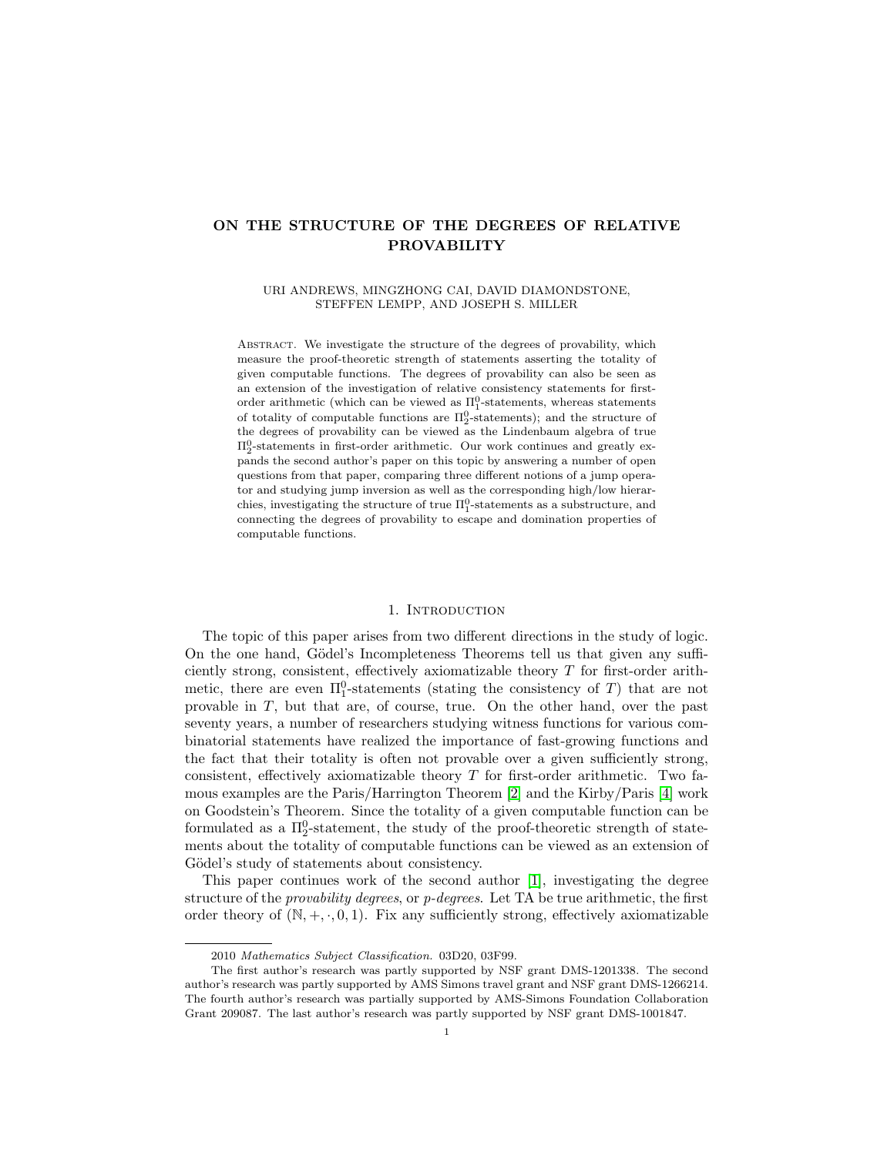## ON THE STRUCTURE OF THE DEGREES OF RELATIVE PROVABILITY

### URI ANDREWS, MINGZHONG CAI, DAVID DIAMONDSTONE, STEFFEN LEMPP, AND JOSEPH S. MILLER

ABSTRACT. We investigate the structure of the degrees of provability, which measure the proof-theoretic strength of statements asserting the totality of given computable functions. The degrees of provability can also be seen as an extension of the investigation of relative consistency statements for firstorder arithmetic (which can be viewed as  $\Pi_1^0$ -statements, whereas statements of totality of computable functions are  $\Pi^0_2$ -statements); and the structure of the degrees of provability can be viewed as the Lindenbaum algebra of true  $\Pi_2^0$ -statements in first-order arithmetic. Our work continues and greatly expands the second author's paper on this topic by answering a number of open questions from that paper, comparing three different notions of a jump operator and studying jump inversion as well as the corresponding high/low hierarchies, investigating the structure of true  $\Pi^0_1$ -statements as a substructure, and connecting the degrees of provability to escape and domination properties of computable functions.

### 1. INTRODUCTION

The topic of this paper arises from two different directions in the study of logic. On the one hand, Gödel's Incompleteness Theorems tell us that given any sufficiently strong, consistent, effectively axiomatizable theory T for first-order arithmetic, there are even  $\Pi_1^0$ -statements (stating the consistency of T) that are not provable in T, but that are, of course, true. On the other hand, over the past seventy years, a number of researchers studying witness functions for various combinatorial statements have realized the importance of fast-growing functions and the fact that their totality is often not provable over a given sufficiently strong, consistent, effectively axiomatizable theory  $T$  for first-order arithmetic. Two famous examples are the Paris/Harrington Theorem [\[2\]](#page-20-0) and the Kirby/Paris [\[4\]](#page-20-1) work on Goodstein's Theorem. Since the totality of a given computable function can be formulated as a  $\Pi^0_2$ -statement, the study of the proof-theoretic strength of statements about the totality of computable functions can be viewed as an extension of Gödel's study of statements about consistency.

This paper continues work of the second author [\[1\]](#page-20-2), investigating the degree structure of the *provability degrees*, or  $p$ -degrees. Let TA be true arithmetic, the first order theory of  $(N, +, \cdot, 0, 1)$ . Fix any sufficiently strong, effectively axiomatizable

<sup>2010</sup> Mathematics Subject Classification. 03D20, 03F99.

The first author's research was partly supported by NSF grant DMS-1201338. The second author's research was partly supported by AMS Simons travel grant and NSF grant DMS-1266214. The fourth author's research was partially supported by AMS-Simons Foundation Collaboration Grant 209087. The last author's research was partly supported by NSF grant DMS-1001847.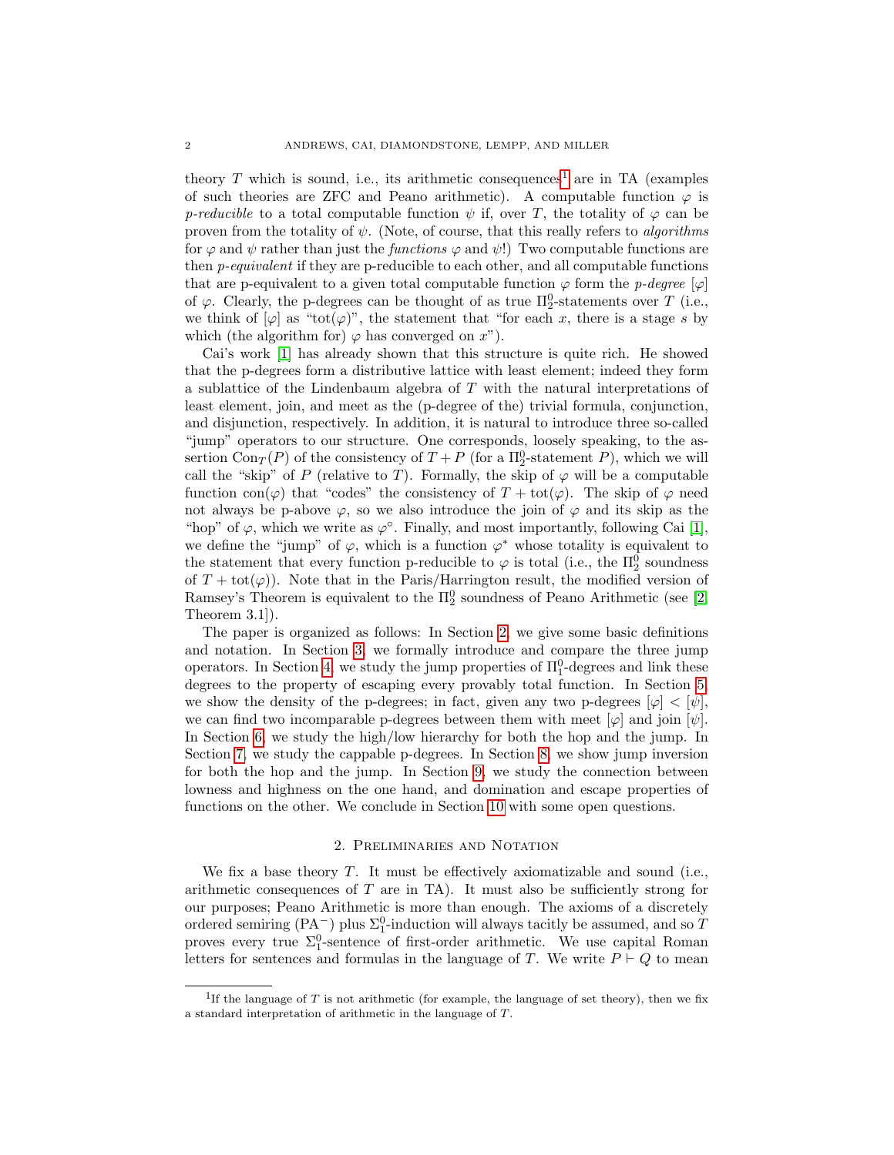theory T which is sound, i.e., its arithmetic consequences<sup>[1](#page-1-0)</sup> are in TA (examples of such theories are ZFC and Peano arithmetic). A computable function  $\varphi$  is p-reducible to a total computable function  $\psi$  if, over T, the totality of  $\varphi$  can be proven from the totality of  $\psi$ . (Note, of course, that this really refers to *algorithms* for  $\varphi$  and  $\psi$  rather than just the *functions*  $\varphi$  and  $\psi$ !) Two computable functions are then p-equivalent if they are p-reducible to each other, and all computable functions that are p-equivalent to a given total computable function  $\varphi$  form the p-degree  $[\varphi]$ of  $\varphi$ . Clearly, the p-degrees can be thought of as true  $\Pi^0_2$ -statements over T (i.e., we think of  $[\varphi]$  as "tot $(\varphi)$ ", the statement that "for each x, there is a stage s by which (the algorithm for)  $\varphi$  has converged on  $x$ ").

Cai's work [\[1\]](#page-20-2) has already shown that this structure is quite rich. He showed that the p-degrees form a distributive lattice with least element; indeed they form a sublattice of the Lindenbaum algebra of T with the natural interpretations of least element, join, and meet as the (p-degree of the) trivial formula, conjunction, and disjunction, respectively. In addition, it is natural to introduce three so-called "jump" operators to our structure. One corresponds, loosely speaking, to the assertion  $Con_T(P)$  of the consistency of  $T + P$  (for a  $\Pi_2^0$ -statement P), which we will call the "skip" of P (relative to T). Formally, the skip of  $\varphi$  will be a computable function con( $\varphi$ ) that "codes" the consistency of  $T + \text{tot}(\varphi)$ . The skip of  $\varphi$  need not always be p-above  $\varphi$ , so we also introduce the join of  $\varphi$  and its skip as the "hop" of  $\varphi$ , which we write as  $\varphi^{\circ}$ . Finally, and most importantly, following Cai [\[1\]](#page-20-2), we define the "jump" of  $\varphi$ , which is a function  $\varphi^*$  whose totality is equivalent to the statement that every function p-reducible to  $\varphi$  is total (i.e., the  $\Pi^0_2$  soundness of  $T + \text{tot}(\varphi)$ . Note that in the Paris/Harrington result, the modified version of Ramsey's Theorem is equivalent to the  $\Pi_2^0$  soundness of Peano Arithmetic (see [\[2,](#page-20-0) Theorem 3.1]).

The paper is organized as follows: In Section [2,](#page-1-1) we give some basic definitions and notation. In Section [3,](#page-3-0) we formally introduce and compare the three jump operators. In Section [4,](#page-4-0) we study the jump properties of  $\Pi_1^0$ -degrees and link these degrees to the property of escaping every provably total function. In Section [5,](#page-6-0) we show the density of the p-degrees; in fact, given any two p-degrees  $[\varphi] < [\psi]$ , we can find two incomparable p-degrees between them with meet  $[\varphi]$  and join  $[\psi]$ . In Section [6,](#page-8-0) we study the high/low hierarchy for both the hop and the jump. In Section [7,](#page-11-0) we study the cappable p-degrees. In Section [8,](#page-12-0) we show jump inversion for both the hop and the jump. In Section [9,](#page-15-0) we study the connection between lowness and highness on the one hand, and domination and escape properties of functions on the other. We conclude in Section [10](#page-19-0) with some open questions.

#### 2. Preliminaries and Notation

<span id="page-1-1"></span>We fix a base theory  $T$ . It must be effectively axiomatizable and sound (i.e., arithmetic consequences of  $T$  are in TA). It must also be sufficiently strong for our purposes; Peano Arithmetic is more than enough. The axioms of a discretely ordered semiring (PA<sup>-</sup>) plus  $\Sigma^0_1$ -induction will always tacitly be assumed, and so T proves every true  $\Sigma_1^0$ -sentence of first-order arithmetic. We use capital Roman letters for sentences and formulas in the language of T. We write  $P \vdash Q$  to mean

<span id="page-1-0"></span><sup>&</sup>lt;sup>1</sup>If the language of T is not arithmetic (for example, the language of set theory), then we fix a standard interpretation of arithmetic in the language of T.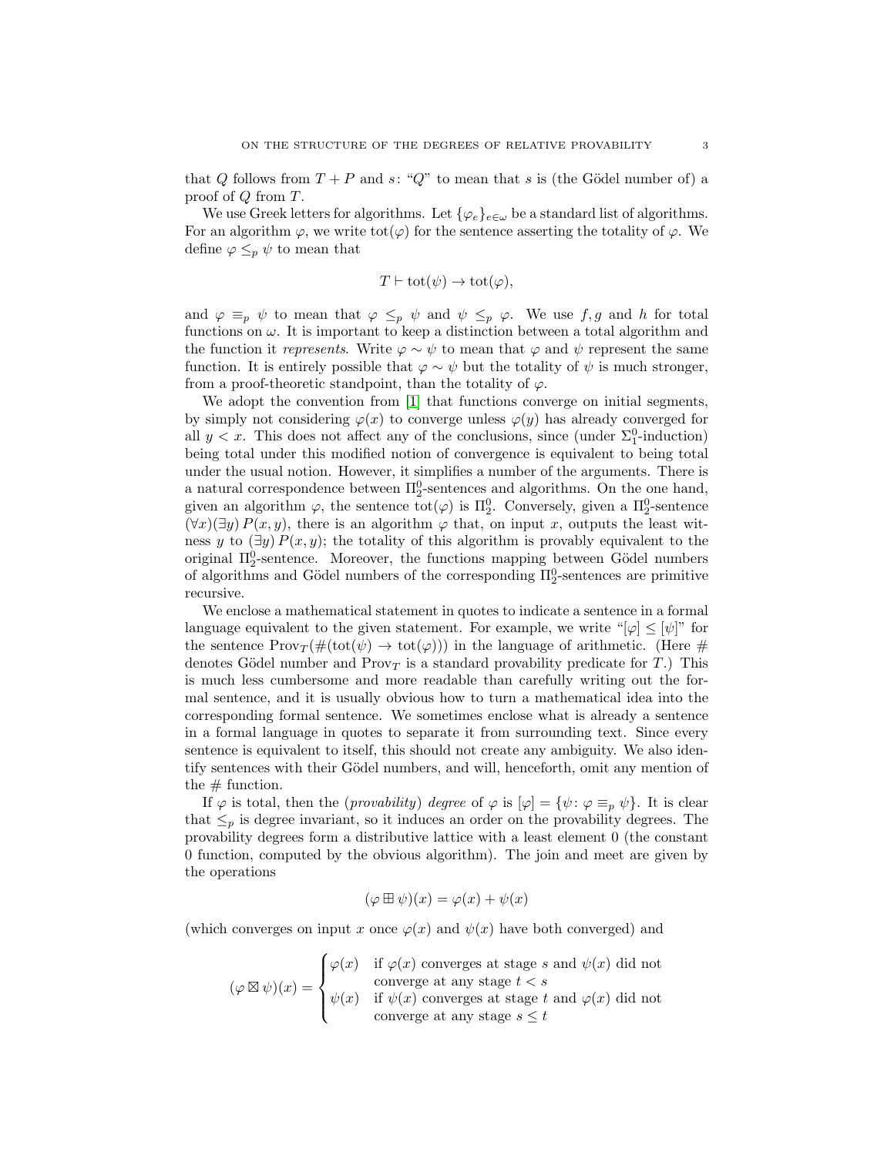that Q follows from  $T + P$  and s: "Q" to mean that s is (the Gödel number of) a proof of Q from T.

We use Greek letters for algorithms. Let  $\{\varphi_e\}_{e\in\omega}$  be a standard list of algorithms. For an algorithm  $\varphi$ , we write tot $(\varphi)$  for the sentence asserting the totality of  $\varphi$ . We define  $\varphi \leq_p \psi$  to mean that

$$
T \vdash \text{tot}(\psi) \to \text{tot}(\varphi),
$$

and  $\varphi \equiv_p \psi$  to mean that  $\varphi \leq_p \psi$  and  $\psi \leq_p \varphi$ . We use  $f, g$  and h for total functions on  $\omega$ . It is important to keep a distinction between a total algorithm and the function it represents. Write  $\varphi \sim \psi$  to mean that  $\varphi$  and  $\psi$  represent the same function. It is entirely possible that  $\varphi \sim \psi$  but the totality of  $\psi$  is much stronger, from a proof-theoretic standpoint, than the totality of  $\varphi$ .

We adopt the convention from [\[1\]](#page-20-2) that functions converge on initial segments, by simply not considering  $\varphi(x)$  to converge unless  $\varphi(y)$  has already converged for all  $y < x$ . This does not affect any of the conclusions, since (under  $\Sigma_1^0$ -induction) being total under this modified notion of convergence is equivalent to being total under the usual notion. However, it simplifies a number of the arguments. There is a natural correspondence between  $\Pi_2^0$ -sentences and algorithms. On the one hand, given an algorithm  $\varphi$ , the sentence  $\text{tot}(\varphi)$  is  $\Pi_2^0$ . Conversely, given a  $\Pi_2^0$ -sentence  $(\forall x)(\exists y) P(x, y)$ , there is an algorithm  $\varphi$  that, on input x, outputs the least witness y to  $(\exists y) P(x, y)$ ; the totality of this algorithm is provably equivalent to the original  $\Pi_2^0$ -sentence. Moreover, the functions mapping between Gödel numbers of algorithms and Gödel numbers of the corresponding  $\Pi_2^0$ -sentences are primitive recursive.

We enclose a mathematical statement in quotes to indicate a sentence in a formal language equivalent to the given statement. For example, we write " $|\varphi| \leq |\psi|$ " for the sentence  $\text{Prov}_T(\#(\text{tot}(\psi) \to \text{tot}(\varphi)))$  in the language of arithmetic. (Here # denotes Gödel number and  $Prov_T$  is a standard provability predicate for  $T$ .) This is much less cumbersome and more readable than carefully writing out the formal sentence, and it is usually obvious how to turn a mathematical idea into the corresponding formal sentence. We sometimes enclose what is already a sentence in a formal language in quotes to separate it from surrounding text. Since every sentence is equivalent to itself, this should not create any ambiguity. We also identify sentences with their Gödel numbers, and will, henceforth, omit any mention of the  $\#$  function.

If  $\varphi$  is total, then the (*provability*) degree of  $\varphi$  is  $[\varphi] = {\psi : \varphi \equiv_p \psi}$ . It is clear that  $\leq_p$  is degree invariant, so it induces an order on the provability degrees. The provability degrees form a distributive lattice with a least element 0 (the constant 0 function, computed by the obvious algorithm). The join and meet are given by the operations

$$
(\varphi \boxplus \psi)(x) = \varphi(x) + \psi(x)
$$

(which converges on input x once  $\varphi(x)$  and  $\psi(x)$  have both converged) and

$$
(\varphi \boxtimes \psi)(x) = \begin{cases} \varphi(x) & \text{if } \varphi(x) \text{ converges at stage } s \text{ and } \psi(x) \text{ did not converge at any stage } t < s \\ \psi(x) & \text{if } \psi(x) \text{ converges at stage } t \text{ and } \varphi(x) \text{ did not converge at any stage } s \leq t \end{cases}
$$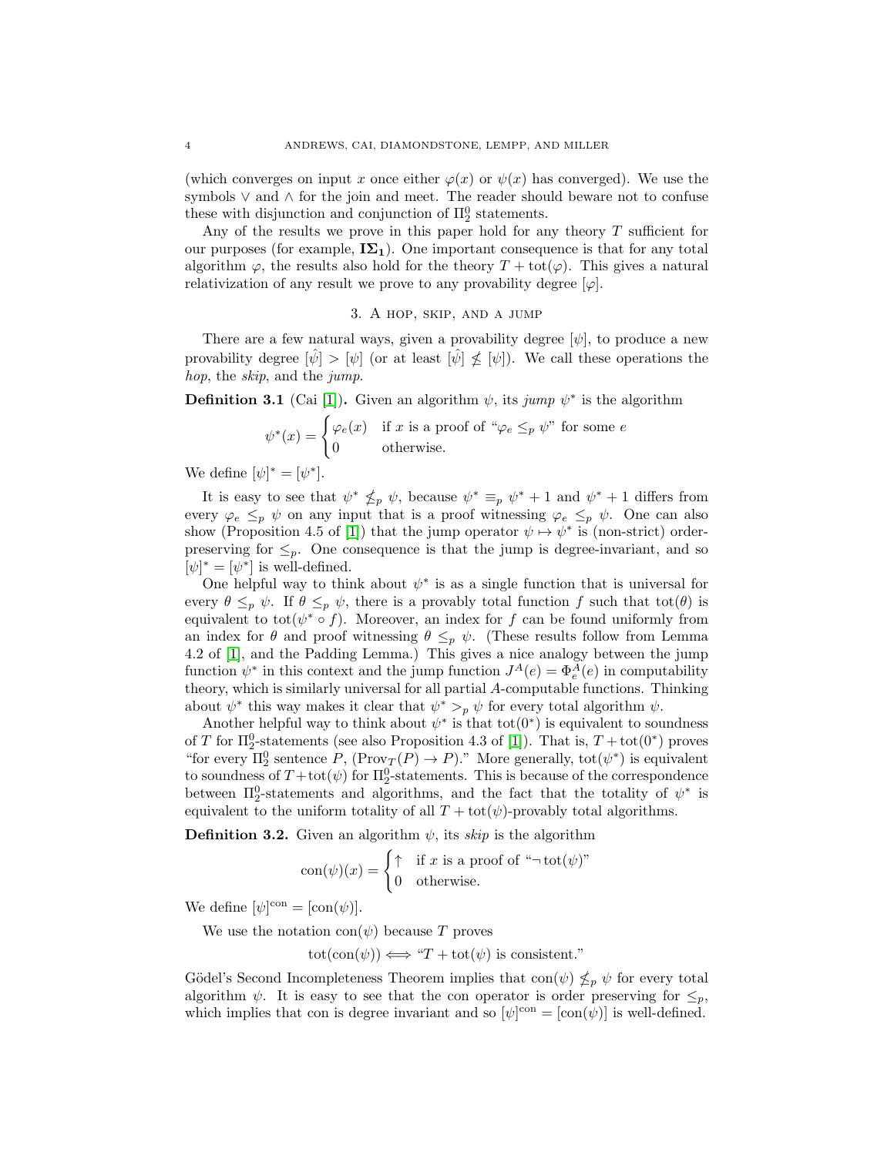(which converges on input x once either  $\varphi(x)$  or  $\psi(x)$  has converged). We use the symbols ∨ and ∧ for the join and meet. The reader should beware not to confuse these with disjunction and conjunction of  $\Pi_2^0$  statements.

Any of the results we prove in this paper hold for any theory  $T$  sufficient for our purposes (for example,  $I\Sigma_1$ ). One important consequence is that for any total algorithm  $\varphi$ , the results also hold for the theory  $T + \text{tot}(\varphi)$ . This gives a natural relativization of any result we prove to any provability degree  $[\varphi]$ .

## 3. A hop, skip, and a jump

<span id="page-3-0"></span>There are a few natural ways, given a provability degree  $[\psi]$ , to produce a new provability degree  $|\hat{\psi}| > |\psi|$  (or at least  $|\hat{\psi}| \nleq |\psi|$ ). We call these operations the hop, the skip, and the jump.

**Definition 3.1** (Cai [\[1\]](#page-20-2)). Given an algorithm  $\psi$ , its jump  $\psi^*$  is the algorithm

$$
\psi^*(x) = \begin{cases} \varphi_e(x) & \text{if } x \text{ is a proof of } \text{``}\varphi_e \leq_p \psi \text{''} \text{ for some } e \\ 0 & \text{otherwise.} \end{cases}
$$

We define  $[\psi]^* = [\psi^*]$ .

It is easy to see that  $\psi^* \nleq_p \psi$ , because  $\psi^* \equiv_p \psi^* + 1$  and  $\psi^* + 1$  differs from every  $\varphi_e \leq_p \psi$  on any input that is a proof witnessing  $\varphi_e \leq_p \psi$ . One can also show (Proposition 4.5 of [\[1\]](#page-20-2)) that the jump operator  $\psi \mapsto \psi^*$  is (non-strict) orderpreserving for  $\leq_p$ . One consequence is that the jump is degree-invariant, and so  $[\psi]^* = [\psi^*]$  is well-defined.

One helpful way to think about  $\psi^*$  is as a single function that is universal for every  $\theta \leq_p \psi$ . If  $\theta \leq_p \psi$ , there is a provably total function f such that tot( $\theta$ ) is equivalent to tot( $\psi^* \circ f$ ). Moreover, an index for f can be found uniformly from an index for  $\theta$  and proof witnessing  $\theta \leq_p \psi$ . (These results follow from Lemma 4.2 of [\[1\]](#page-20-2), and the Padding Lemma.) This gives a nice analogy between the jump function  $\psi^*$  in this context and the jump function  $J^A(e) = \Phi_e^A(e)$  in computability theory, which is similarly universal for all partial A-computable functions. Thinking about  $\psi^*$  this way makes it clear that  $\psi^* >_{p} \psi$  for every total algorithm  $\psi$ .

Another helpful way to think about  $\psi^*$  is that tot $(0^*)$  is equivalent to soundness of T for  $\Pi_2^0$ -statements (see also Proposition 4.3 of [\[1\]](#page-20-2)). That is,  $T + \text{tot}(0^*)$  proves "for every  $\Pi_2^0$  sentence  $P$ ,  $(Prov_T(P) \to P)$ ." More generally, tot $(\psi^*)$  is equivalent to soundness of  $T + \text{tot}(\psi)$  for  $\Pi^0_2$ -statements. This is because of the correspondence between  $\Pi_2^0$ -statements and algorithms, and the fact that the totality of  $\psi^*$  is equivalent to the uniform totality of all  $T + \text{tot}(\psi)$ -provably total algorithms.

**Definition 3.2.** Given an algorithm  $\psi$ , its skip is the algorithm

$$
con(\psi)(x) = \begin{cases} \uparrow & \text{if } x \text{ is a proof of } ``\neg \text{tot}(\psi)"\\ 0 & \text{otherwise.} \end{cases}
$$

We define  $[\psi]^{con} = [con(\psi)].$ 

We use the notation  $con(\psi)$  because T proves

 $\text{tot}(\text{con}(\psi)) \Longleftrightarrow "T + \text{tot}(\psi)$  is consistent."

Gödel's Second Incompleteness Theorem implies that  $\text{con}(\psi) \nleq_p \psi$  for every total algorithm  $\psi$ . It is easy to see that the con operator is order preserving for  $\leq_p$ , which implies that con is degree invariant and so  $[\psi]^{con} = [con(\psi)]$  is well-defined.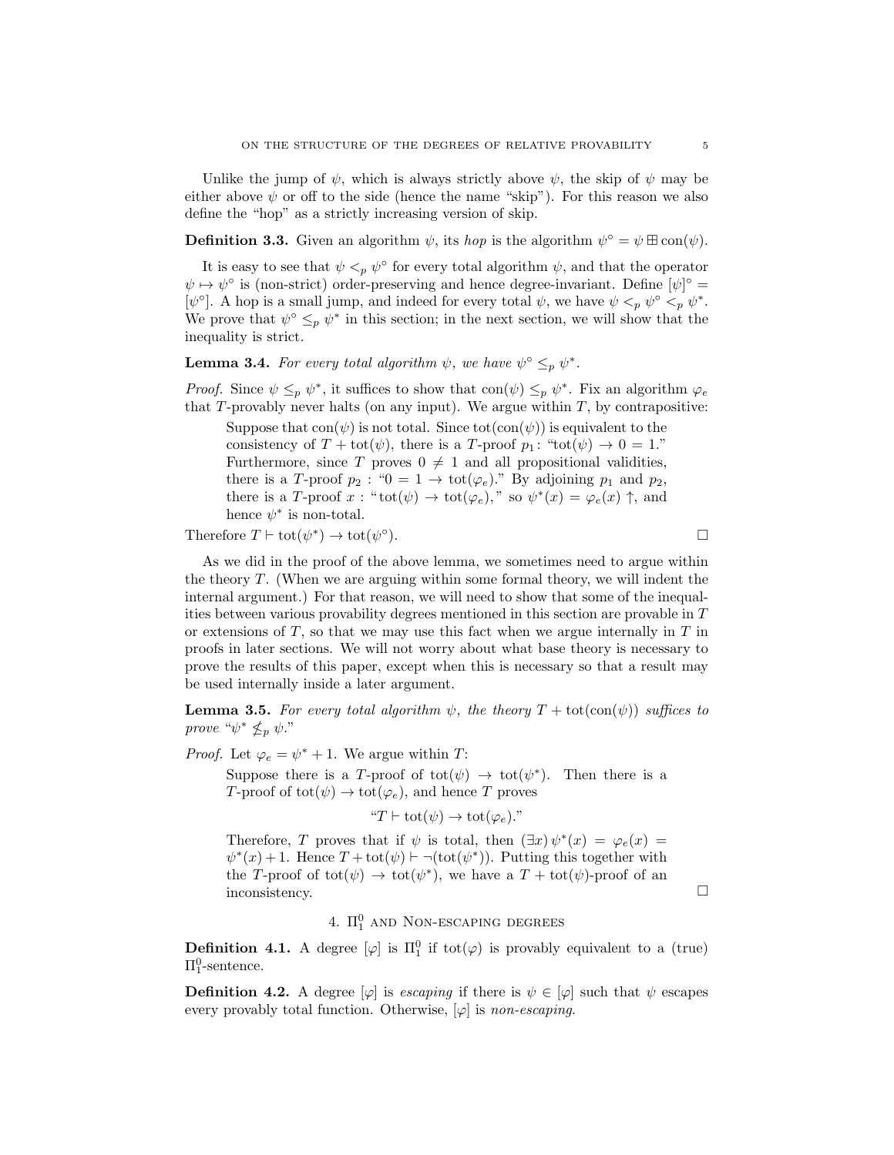Unlike the jump of  $\psi$ , which is always strictly above  $\psi$ , the skip of  $\psi$  may be either above  $\psi$  or off to the side (hence the name "skip"). For this reason we also define the "hop" as a strictly increasing version of skip.

**Definition 3.3.** Given an algorithm  $\psi$ , its *hop* is the algorithm  $\psi^{\circ} = \psi \boxplus \text{con}(\psi)$ .

It is easy to see that  $\psi <_{p} \psi^{\circ}$  for every total algorithm  $\psi$ , and that the operator  $\psi \mapsto \psi^{\circ}$  is (non-strict) order-preserving and hence degree-invariant. Define  $[\psi]^{\circ} =$ [ $\psi^{\circ}$ ]. A hop is a small jump, and indeed for every total  $\psi$ , we have  $\psi <_{p} \psi^{\circ} <_{p} \psi^*$ . We prove that  $\psi^{\circ} \leq_{p} \psi^*$  in this section; in the next section, we will show that the inequality is strict.

<span id="page-4-1"></span>**Lemma 3.4.** For every total algorithm  $\psi$ , we have  $\psi^{\circ} \leq_p \psi^*$ .

*Proof.* Since  $\psi \leq_p \psi^*$ , it suffices to show that con $(\psi) \leq_p \psi^*$ . Fix an algorithm  $\varphi_e$ that  $T$ -provably never halts (on any input). We argue within  $T$ , by contrapositive:

Suppose that  $con(\psi)$  is not total. Since tot $(con(\psi))$  is equivalent to the consistency of  $T + \text{tot}(\psi)$ , there is a T-proof  $p_1$ : " $\text{tot}(\psi) \rightarrow 0 = 1$ ." Furthermore, since T proves  $0 \neq 1$  and all propositional validities, there is a T-proof  $p_2$ : " $0 = 1 \rightarrow tot(\varphi_e)$ ." By adjoining  $p_1$  and  $p_2$ , there is a T-proof x: " $\text{tot}(\psi) \to \text{tot}(\varphi_e)$ ," so  $\psi^*(x) = \varphi_e(x) \uparrow$ , and hence  $\psi^*$  is non-total.

Therefore  $T \vdash \text{tot}(\psi^*) \to \text{tot}(\psi^{\circ})$ 

 $\Box$ 

As we did in the proof of the above lemma, we sometimes need to argue within the theory T. (When we are arguing within some formal theory, we will indent the internal argument.) For that reason, we will need to show that some of the inequalities between various provability degrees mentioned in this section are provable in T or extensions of  $T$ , so that we may use this fact when we argue internally in  $T$  in proofs in later sections. We will not worry about what base theory is necessary to prove the results of this paper, except when this is necessary so that a result may be used internally inside a later argument.

<span id="page-4-2"></span>**Lemma 3.5.** For every total algorithm  $\psi$ , the theory  $T + \text{tot}(\text{con}(\psi))$  suffices to prove " $\psi^* \nleq_p \psi$ ."

*Proof.* Let  $\varphi_e = \psi^* + 1$ . We argue within *T*:

Suppose there is a T-proof of  $\text{tot}(\psi) \to \text{tot}(\psi^*)$ . Then there is a T-proof of tot $(\psi) \to \text{tot}(\varphi_e)$ , and hence T proves

$$
"T \vdash \text{tot}(\psi) \to \text{tot}(\varphi_e)."\\
$$

Therefore, T proves that if  $\psi$  is total, then  $(\exists x)\psi^*(x) = \varphi_e(x)$  $\psi^*(x) + 1$ . Hence  $T + \text{tot}(\psi) \vdash \neg(\text{tot}(\psi^*))$ . Putting this together with the T-proof of  $\text{tot}(\psi) \to \text{tot}(\psi^*)$ , we have a  $T + \text{tot}(\psi)$ -proof of an inconsistency.

# 4.  $\Pi_1^0$  and Non-escaping degrees

<span id="page-4-0"></span>**Definition 4.1.** A degree  $[\varphi]$  is  $\Pi_1^0$  if tot $(\varphi)$  is provably equivalent to a (true)  $\Pi^0_1$ -sentence.

**Definition 4.2.** A degree  $[\varphi]$  is escaping if there is  $\psi \in [\varphi]$  such that  $\psi$  escapes every provably total function. Otherwise,  $[\varphi]$  is non-escaping.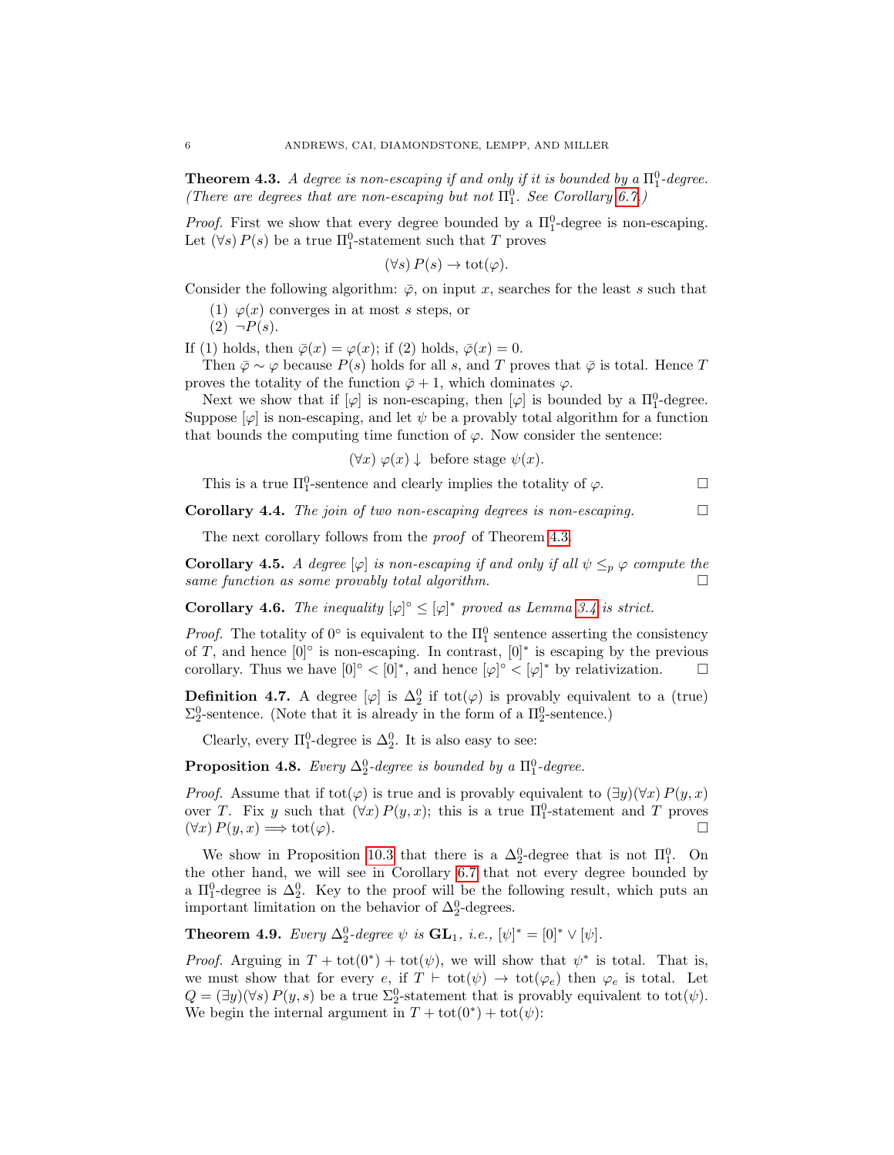<span id="page-5-0"></span>**Theorem 4.3.** A degree is non-escaping if and only if it is bounded by a  $\Pi_1^0$ -degree. (There are degrees that are non-escaping but not  $\Pi_1^0$ . See Corollary [6.7.](#page-10-0))

*Proof.* First we show that every degree bounded by a  $\Pi_1^0$ -degree is non-escaping. Let  $(\forall s) P(s)$  be a true  $\Pi_1^0$ -statement such that T proves

$$
(\forall s) P(s) \to \text{tot}(\varphi).
$$

Consider the following algorithm:  $\overline{\varphi}$ , on input x, searches for the least s such that

(1)  $\varphi(x)$  converges in at most s steps, or

 $(2) \neg P(s)$ .

If (1) holds, then  $\bar{\varphi}(x) = \varphi(x)$ ; if (2) holds,  $\bar{\varphi}(x) = 0$ .

Then  $\bar{\varphi} \sim \varphi$  because  $P(s)$  holds for all s, and T proves that  $\bar{\varphi}$  is total. Hence T proves the totality of the function  $\bar{\varphi}+1$ , which dominates  $\varphi$ .

Next we show that if  $[\varphi]$  is non-escaping, then  $[\varphi]$  is bounded by a  $\Pi_1^0$ -degree. Suppose  $[\varphi]$  is non-escaping, and let  $\psi$  be a provably total algorithm for a function that bounds the computing time function of  $\varphi$ . Now consider the sentence:

 $(\forall x) \varphi(x) \downarrow$  before stage  $\psi(x)$ .

This is a true  $\Pi_1^0$ -sentence and clearly implies the totality of  $\varphi$ .

**Corollary 4.4.** The join of two non-escaping degrees is non-escaping.  $\Box$ 

The next corollary follows from the *proof* of Theorem [4.3.](#page-5-0)

<span id="page-5-3"></span>**Corollary 4.5.** A degree  $[\varphi]$  is non-escaping if and only if all  $\psi \leq_p \varphi$  compute the same function as some provably total algorithm.  $\Box$ 

**Corollary 4.6.** The inequality  $[\varphi]^\circ \leq [\varphi]^*$  proved as Lemma [3.4](#page-4-1) is strict.

*Proof.* The totality of  $0^{\circ}$  is equivalent to the  $\Pi_1^0$  sentence asserting the consistency of T, and hence  $[0]^\circ$  is non-escaping. In contrast,  $[0]^*$  is escaping by the previous corollary. Thus we have  $[0]^\circ < [0]^*$ , and hence  $[\varphi]^\circ < [\varphi]^*$  by relativization.  $\square$ 

**Definition 4.7.** A degree  $[\varphi]$  is  $\Delta_2^0$  if tot $(\varphi)$  is provably equivalent to a (true)  $\Sigma^0_2$ -sentence. (Note that it is already in the form of a  $\Pi^0_2$ -sentence.)

Clearly, every  $\Pi_1^0$ -degree is  $\Delta_2^0$ . It is also easy to see:

<span id="page-5-2"></span>**Proposition 4.8.** Every  $\Delta_2^0$ -degree is bounded by a  $\Pi_1^0$ -degree.

*Proof.* Assume that if tot $(\varphi)$  is true and is provably equivalent to  $(\exists y)(\forall x) P(y, x)$ over T. Fix y such that  $(\forall x) P(y, x)$ ; this is a true  $\Pi_1^0$ -statement and T proves  $(\forall x) P(y, x) \Longrightarrow \text{tot}(\varphi).$ 

We show in Proposition [10.3](#page-19-1) that there is a  $\Delta_2^0$ -degree that is not  $\Pi_1^0$ . On the other hand, we will see in Corollary [6.7](#page-10-0) that not every degree bounded by a  $\Pi_1^0$ -degree is  $\Delta_2^0$ . Key to the proof will be the following result, which puts an important limitation on the behavior of  $\Delta_2^0$ -degrees.

<span id="page-5-1"></span>**Theorem 4.9.** Every  $\Delta_2^0$ -degree  $\psi$  is  $\mathbf{GL}_1$ , i.e.,  $[\psi]^* = [0]^* \vee [\psi]$ .

*Proof.* Arguing in  $T + \text{tot}(0^*) + \text{tot}(\psi)$ , we will show that  $\psi^*$  is total. That is, we must show that for every e, if  $T \vdash \text{tot}(\psi) \rightarrow \text{tot}(\varphi_e)$  then  $\varphi_e$  is total. Let  $Q = (\exists y)(\forall s) P(y, s)$  be a true  $\Sigma^0_2$ -statement that is provably equivalent to tot $(\psi)$ . We begin the internal argument in  $T + \text{tot}(0^*) + \text{tot}(\psi)$ :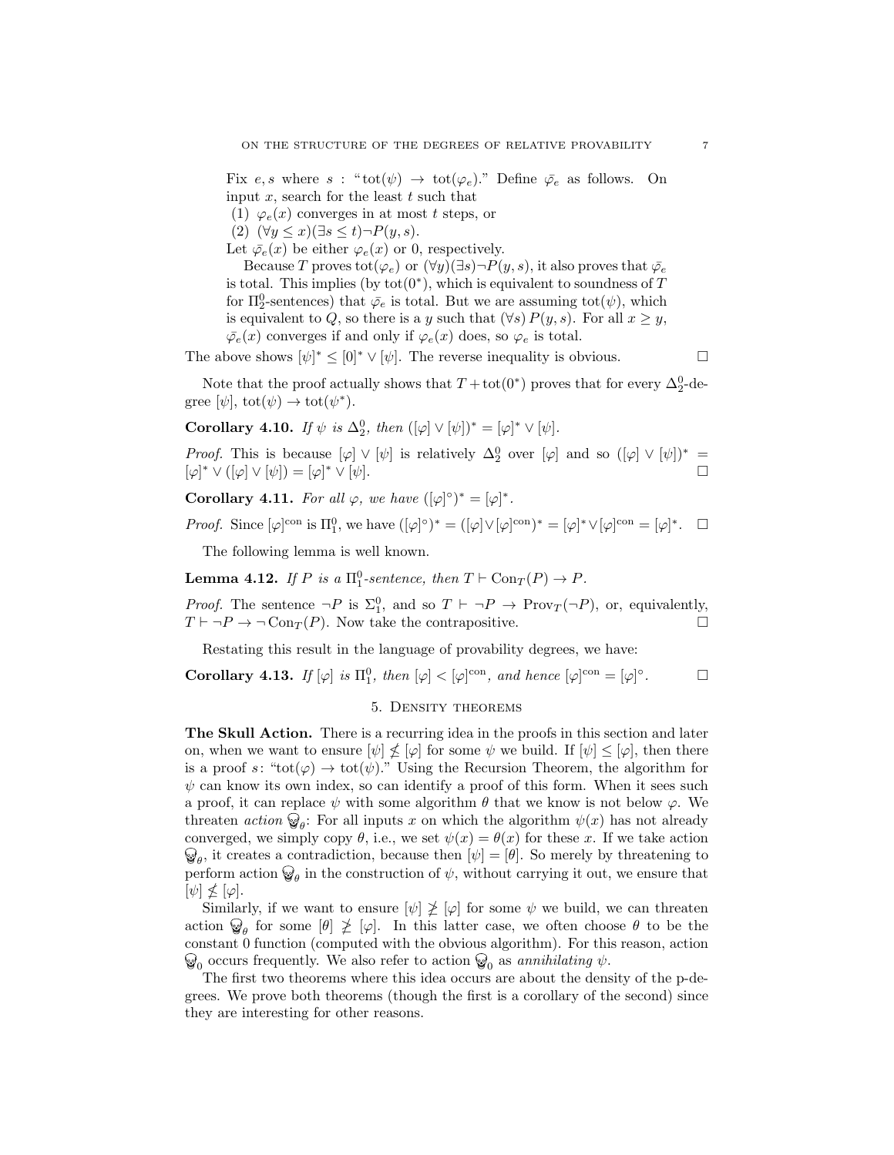Fix e, s where s: " $\text{tot}(\psi) \rightarrow \text{tot}(\varphi_e)$ ." Define  $\bar{\varphi_e}$  as follows. On input  $x$ , search for the least  $t$  such that

(1)  $\varphi_e(x)$  converges in at most t steps, or

(2)  $(\forall y \leq x)(\exists s \leq t) \neg P(y, s).$ 

Let  $\bar{\varphi}_e(x)$  be either  $\varphi_e(x)$  or 0, respectively.

Because T proves tot( $\varphi_e$ ) or  $(\forall y)(\exists s) \neg P(y, s)$ , it also proves that  $\bar{\varphi}_e$ is total. This implies (by  $tot(0^*)$ , which is equivalent to soundness of T for  $\Pi_2^0$ -sentences) that  $\bar{\varphi}_e$  is total. But we are assuming tot $(\psi)$ , which is equivalent to Q, so there is a y such that  $(\forall s) P(y, s)$ . For all  $x \geq y$ ,  $\overline{\varphi}_e(x)$  converges if and only if  $\varphi_e(x)$  does, so  $\varphi_e$  is total.

The above shows  $[\psi]^* \leq [0]^* \vee [\psi]$ . The reverse inequality is obvious.

Note that the proof actually shows that  $T + \text{tot}(0^*)$  proves that for every  $\Delta_2^0$ -degree  $[\psi]$ ,  $\text{tot}(\psi) \to \text{tot}(\psi^*)$ .

<span id="page-6-1"></span>**Corollary 4.10.** If  $\psi$  is  $\Delta_2^0$ , then  $((\varphi] \vee [\psi])^* = [\varphi]^* \vee [\psi]$ .

*Proof.* This is because  $[\varphi] \vee [\psi]$  is relatively  $\Delta_2^0$  over  $[\varphi]$  and so  $([\varphi] \vee [\psi])^* =$  $[\varphi]^* \vee ([\varphi] \vee [\psi]) = [\varphi]$  $\mathbf{v} \times \mathbf{v}$   $\psi$ .

**Corollary 4.11.** For all  $\varphi$ , we have  $([\varphi]^\circ)^* = [\varphi]^*$ .

Proof. Since  $[\varphi]^{con}$  is  $\Pi_1^0$ , we have  $([\varphi]^\circ)^* = ([\varphi] \vee [\varphi]^{con})^* = [\varphi]^* \vee [\varphi]^{con} = [\varphi]^*$ .  $\Box$ 

The following lemma is well known.

**Lemma 4.12.** If P is a  $\Pi_1^0$ -sentence, then  $T \vdash \text{Con}_T(P) \to P$ .

*Proof.* The sentence  $\neg P$  is  $\Sigma_1^0$ , and so  $T \vdash \neg P \rightarrow \text{Prov}_T(\neg P)$ , or, equivalently,  $T \vdash \neg P \rightarrow \neg \text{Con}_T (P)$ . Now take the contrapositive.

Restating this result in the language of provability degrees, we have:

<span id="page-6-0"></span>Corollary 4.13. If  $[\varphi]$  is  $\Pi_1^0$ , then  $[\varphi] < [\varphi]^{con}$ , and hence  $[\varphi]^{con} = [\varphi]^{con}$  $\Box$ 

### 5. Density theorems

The Skull Action. There is a recurring idea in the proofs in this section and later on, when we want to ensure  $[\psi] \nleq [\varphi]$  for some  $\psi$  we build. If  $[\psi] \leq [\varphi]$ , then there is a proof s: "tot( $\varphi$ )  $\rightarrow$  tot( $\psi$ )." Using the Recursion Theorem, the algorithm for  $\psi$  can know its own index, so can identify a proof of this form. When it sees such a proof, it can replace  $\psi$  with some algorithm  $\theta$  that we know is not below  $\varphi$ . We threaten *action*  $\mathcal{D}_{\theta}$ : For all inputs x on which the algorithm  $\psi(x)$  has not already converged, we simply copy  $\theta$ , i.e., we set  $\psi(x) = \theta(x)$  for these x. If we take action  $\theta_{\theta}$ , it creates a contradiction, because then  $[\psi] = [\theta]$ . So merely by threatening to perform action  $\mathcal{D}_{\theta}$  in the construction of  $\psi$ , without carrying it out, we ensure that  $[\psi] \nleq [\varphi].$ 

Similarly, if we want to ensure  $[\psi] \not\geq [\varphi]$  for some  $\psi$  we build, we can threaten action  $\mathcal{G}_{\theta}$  for some  $[\theta] \not\geq [\varphi]$ . In this latter case, we often choose  $\theta$  to be the constant 0 function (computed with the obvious algorithm). For this reason, action occurs frequently. We also refer to action  $\mathcal{D}_0$  as annihilating  $\psi$ .

The first two theorems where this idea occurs are about the density of the p-degrees. We prove both theorems (though the first is a corollary of the second) since they are interesting for other reasons.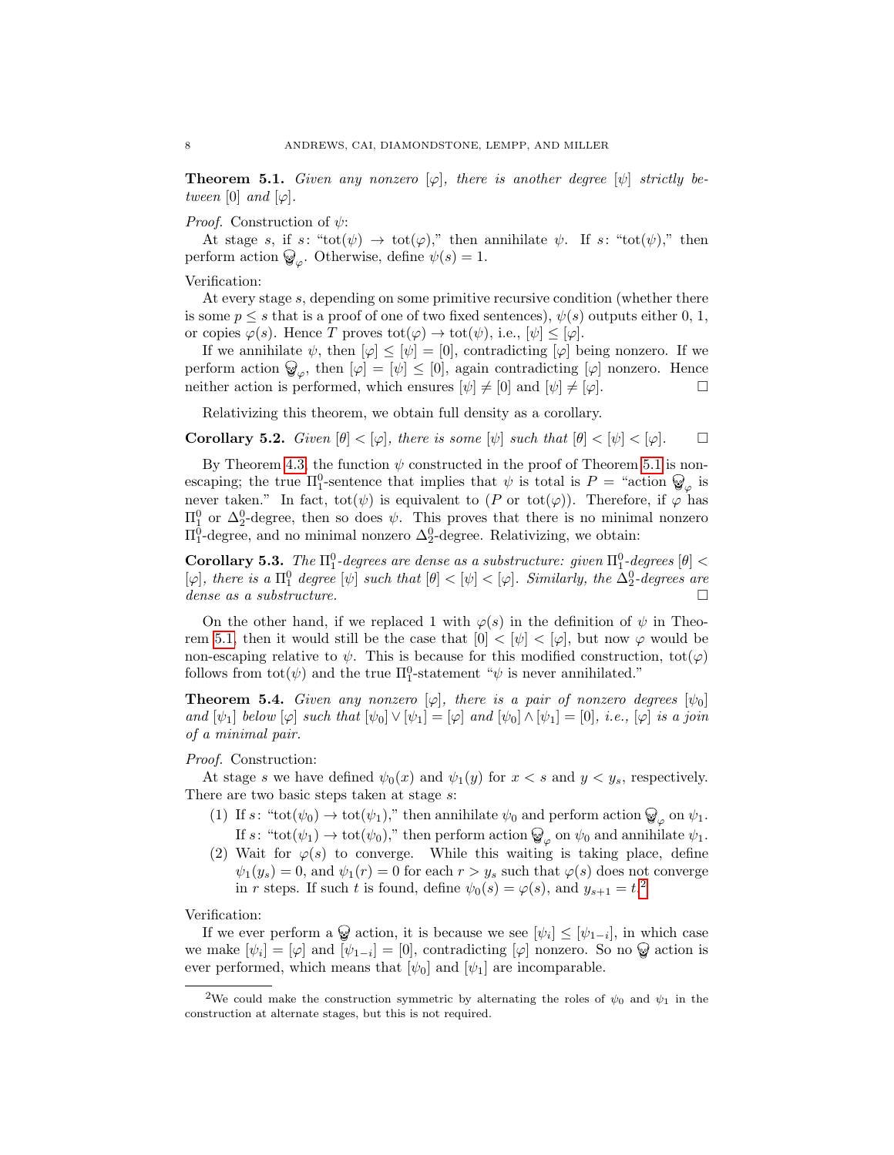<span id="page-7-0"></span>**Theorem 5.1.** Given any nonzero  $[\varphi]$ , there is another degree  $[\psi]$  strictly between [0] and  $[\varphi]$ .

*Proof.* Construction of  $\psi$ :

At stage s, if s: "tot( $\psi$ )  $\rightarrow$  tot( $\varphi$ )," then annihilate  $\psi$ . If s: "tot( $\psi$ )," then perform action  $\mathcal{Q}_{\varphi}$ . Otherwise, define  $\psi(s) = 1$ .

Verification:

At every stage s, depending on some primitive recursive condition (whether there is some  $p \leq s$  that is a proof of one of two fixed sentences),  $\psi(s)$  outputs either 0, 1, or copies  $\varphi(s)$ . Hence T proves  $\text{tot}(\varphi) \to \text{tot}(\psi)$ , i.e.,  $[\psi] \leq [\varphi]$ .

If we annihilate  $\psi$ , then  $[\varphi] \leq [\psi] = [0]$ , contradicting  $[\varphi]$  being nonzero. If we perform action  $\mathcal{Q}_{\varphi}$ , then  $[\varphi] = [\psi] \leq [0]$ , again contradicting  $[\varphi]$  nonzero. Hence neither action is performed, which ensures  $[\psi] \neq [0]$  and  $[\psi] \neq [\varphi]$ .

Relativizing this theorem, we obtain full density as a corollary.

**Corollary 5.2.** Given  $[\theta] < [\varphi]$ , there is some  $[\psi]$  such that  $[\theta] < [\psi] < [\varphi]$ .

By Theorem [4.3,](#page-5-0) the function  $\psi$  constructed in the proof of Theorem [5.1](#page-7-0) is nonescaping; the true  $\Pi_1^0$ -sentence that implies that  $\psi$  is total is  $P = \text{``action} \otimes_{\varphi}$  is never taken." In fact,  $\text{tot}(\psi)$  is equivalent to  $(P \text{ or } \text{tot}(\varphi))$ . Therefore, if  $\varphi$  has  $\Pi_1^0$  or  $\Delta_2^0$ -degree, then so does  $\psi$ . This proves that there is no minimal nonzero  $\Pi_1^0$ -degree, and no minimal nonzero  $\Delta_2^0$ -degree. Relativizing, we obtain:

Corollary 5.3. The  $\Pi_1^0$ -degrees are dense as a substructure: given  $\Pi_1^0$ -degrees  $[\theta]$  <  $[\varphi]$ , there is a  $\Pi_1^0$  degree  $[\psi]$  such that  $[\theta] < [\psi] < [\varphi]$ . Similarly, the  $\Delta_2^0$ -degrees are dense as a substructure.  $\Box$ 

On the other hand, if we replaced 1 with  $\varphi(s)$  in the definition of  $\psi$  in Theo-rem [5.1,](#page-7-0) then it would still be the case that  $[0] < [\psi] < [\varphi]$ , but now  $\varphi$  would be non-escaping relative to  $\psi$ . This is because for this modified construction, tot $(\varphi)$ follows from  $\text{tot}(\psi)$  and the true  $\Pi_1^0$ -statement " $\psi$  is never annihilated."

<span id="page-7-2"></span>**Theorem 5.4.** Given any nonzero  $[\varphi]$ , there is a pair of nonzero degrees  $[\psi_0]$ and  $[\psi_1]$  below  $[\varphi]$  such that  $[\psi_0] \vee [\psi_1] = [\varphi]$  and  $[\psi_0] \wedge [\psi_1] = [0]$ , i.e.,  $[\varphi]$  is a join of a minimal pair.

### Proof. Construction:

At stage s we have defined  $\psi_0(x)$  and  $\psi_1(y)$  for  $x < s$  and  $y < y_s$ , respectively. There are two basic steps taken at stage s:

- (1) If  $s:$  "tot $(\psi_0) \to \text{tot}(\psi_1)$ ," then annihilate  $\psi_0$  and perform action  $\mathbb{Q}_{\varphi}$  on  $\psi_1$ . If  $s$ : "tot $(\psi_1) \to$  tot $(\psi_0)$ ," then perform action  $\mathbb{Q}_{\varphi}$  on  $\psi_0$  and annihilate  $\psi_1$ .
- (2) Wait for  $\varphi(s)$  to converge. While this waiting is taking place, define  $\psi_1(y_s) = 0$ , and  $\psi_1(r) = 0$  for each  $r > y_s$  such that  $\varphi(s)$  does not converge in r steps. If such t is found, define  $\psi_0(s) = \varphi(s)$ , and  $y_{s+1} = t^2$  $y_{s+1} = t^2$ .

Verification:

If we ever perform a  $\mathcal{C}$  action, it is because we see  $[\psi_i] \leq [\psi_{1-i}]$ , in which case we make  $[\psi_i] = [\varphi]$  and  $[\psi_{1-i}] = [0]$ , contradicting  $[\varphi]$  nonzero. So no  $\mathscr{D}$  action is ever performed, which means that  $[\psi_0]$  and  $[\psi_1]$  are incomparable.

<span id="page-7-1"></span><sup>&</sup>lt;sup>2</sup>We could make the construction symmetric by alternating the roles of  $\psi_0$  and  $\psi_1$  in the construction at alternate stages, but this is not required.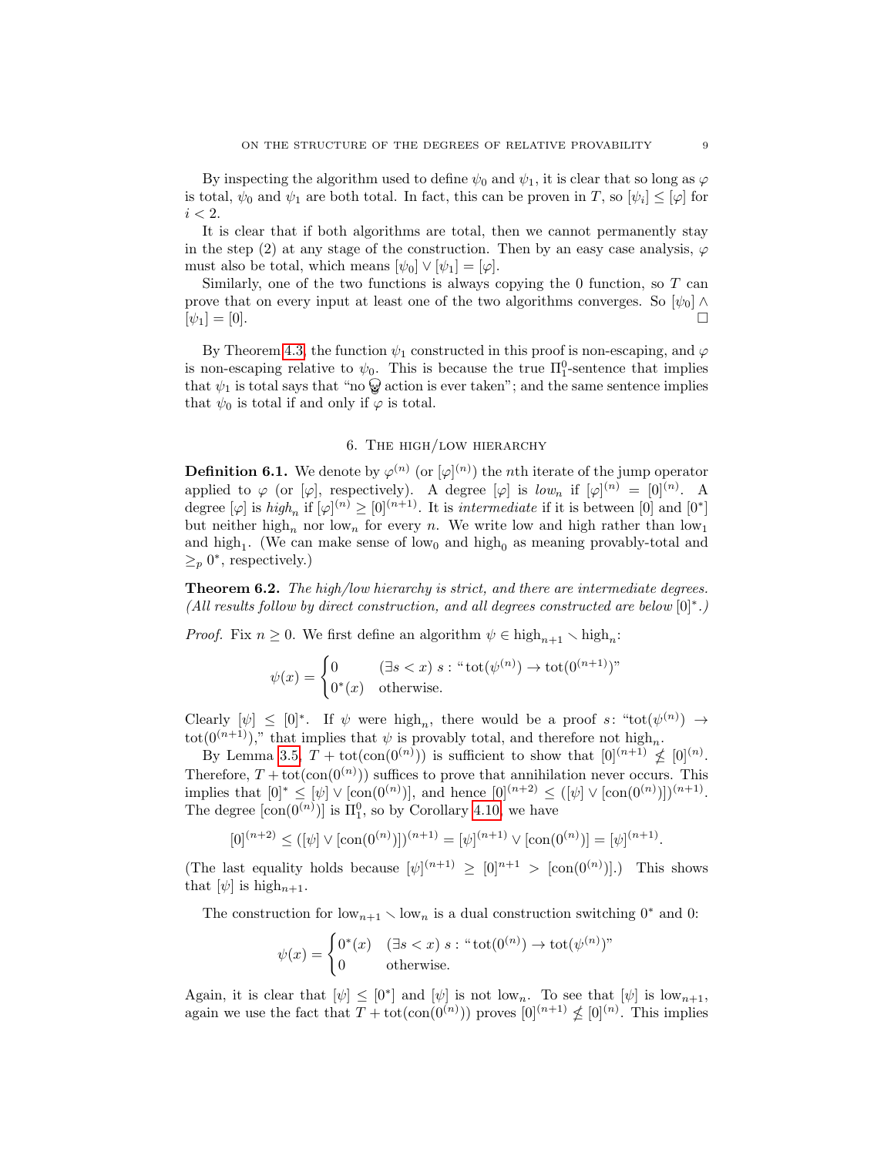By inspecting the algorithm used to define  $\psi_0$  and  $\psi_1$ , it is clear that so long as  $\varphi$ is total,  $\psi_0$  and  $\psi_1$  are both total. In fact, this can be proven in T, so  $[\psi_i] \leq [\varphi]$  for  $i < 2$ .

It is clear that if both algorithms are total, then we cannot permanently stay in the step (2) at any stage of the construction. Then by an easy case analysis,  $\varphi$ must also be total, which means  $[\psi_0] \vee [\psi_1] = [\varphi]$ .

Similarly, one of the two functions is always copying the 0 function, so  $T$  can prove that on every input at least one of the two algorithms converges. So  $[\psi_0] \wedge$  $[\psi_1] = [0].$ 

By Theorem [4.3,](#page-5-0) the function  $\psi_1$  constructed in this proof is non-escaping, and  $\varphi$ is non-escaping relative to  $\psi_0$ . This is because the true  $\Pi_1^0$ -sentence that implies that  $\psi_1$  is total says that "no  $\mathcal{D}$  action is ever taken"; and the same sentence implies that  $\psi_0$  is total if and only if  $\varphi$  is total.

### 6. The high/low hierarchy

<span id="page-8-0"></span>**Definition 6.1.** We denote by  $\varphi^{(n)}$  (or  $[\varphi]^{(n)}$ ) the *n*th iterate of the jump operator applied to  $\varphi$  (or  $[\varphi]$ , respectively). A degree  $[\varphi]$  is  $low_n$  if  $[\varphi]^{(n)} = [0]^{(n)}$ . A degree  $[\varphi]$  is  $high_n$  if  $[\varphi]^{(n)} \geq [0]^{(n+1)}$ . It is *intermediate* if it is between [0] and [0<sup>\*</sup>] but neither high<sub>n</sub> nor low<sub>n</sub> for every n. We write low and high rather than low<sub>1</sub> and high<sub>1</sub>. (We can make sense of low<sub>0</sub> and high<sub>0</sub> as meaning provably-total and  $\geq_p 0^*$ , respectively.)

<span id="page-8-1"></span>Theorem 6.2. The high/low hierarchy is strict, and there are intermediate degrees. (All results follow by direct construction, and all degrees constructed are below [0]<sup>∗</sup> .)

*Proof.* Fix  $n \geq 0$ . We first define an algorithm  $\psi \in \text{high}_{n+1} \setminus \text{high}_n$ :

$$
\psi(x) = \begin{cases} 0 & (\exists s < x) \ s : \text{``tot}(\psi^{(n)}) \to \text{tot}(0^{(n+1)})\text{''} \\ 0^*(x) & \text{otherwise.} \end{cases}
$$

Clearly  $[\psi] \leq [0]^*$ . If  $\psi$  were high<sub>n</sub>, there would be a proof s: "tot( $\psi^{(n)}$ )  $\rightarrow$ tot(0<sup>(n+1)</sup>)," that implies that  $\psi$  is provably total, and therefore not high<sub>n</sub>.

By Lemma [3.5,](#page-4-2)  $T + \text{tot}(\text{con}(0^{(n)}))$  is sufficient to show that  $[0]^{(n+1)} \nleq [0]^{(n)}$ . Therefore,  $T + \text{tot}(\text{con}(0^{(n)}))$  suffices to prove that annihilation never occurs. This implies that  $[0]^* \leq [\psi] \vee [\text{con}(0^{(n)})]$ , and hence  $[0]^{(n+2)} \leq ([\psi] \vee [\text{con}(0^{(n)})])^{(n+1)}$ . The degree  $[\text{con}(0^{(n)})]$  is  $\Pi_1^0$ , so by Corollary [4.10,](#page-6-1) we have

$$
[0]^{(n+2)} \leq ([\psi] \vee [\text{con}(0^{(n)})])^{(n+1)} = [\psi]^{(n+1)} \vee [\text{con}(0^{(n)})] = [\psi]^{(n+1)}.
$$

(The last equality holds because  $[\psi]^{(n+1)} \geq [0]^{n+1} > [\text{con}(0^{(n)})]$ .) This shows that  $[\psi]$  is high<sub>n+1</sub>.

The construction for low<sub>n+1</sub>  $\setminus$  low<sub>n</sub> is a dual construction switching 0<sup>∗</sup> and 0:

$$
\psi(x) = \begin{cases} 0^*(x) & (\exists s < x) \ s : \text{``tot}(0^{(n)}) \to \text{tot}(\psi^{(n)})^n \\ 0 & \text{otherwise.} \end{cases}
$$

Again, it is clear that  $[\psi] \leq [0^*]$  and  $[\psi]$  is not low<sub>n</sub>. To see that  $[\psi]$  is low<sub>n+1</sub>, again we use the fact that  $T + \text{tot}(\text{con}(0^{(n)}))$  proves  $[0]^{(n+1)} \nleq [0]^{(n)}$ . This implies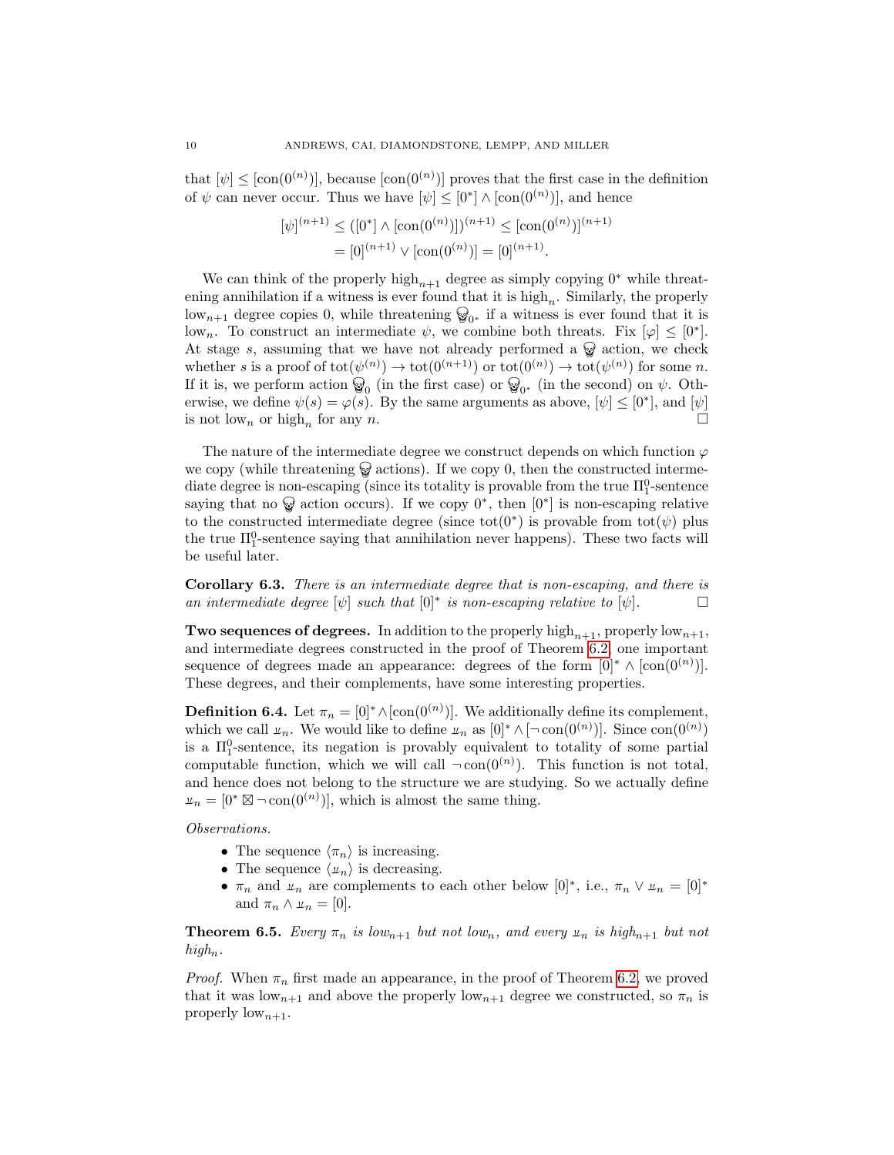that  $[\psi] \leq [\text{con}(0^{(n)})]$ , because  $[\text{con}(0^{(n)})]$  proves that the first case in the definition of  $\psi$  can never occur. Thus we have  $[\psi] \leq [0^*] \wedge [\text{con}(0^{(n)})]$ , and hence

$$
[\psi]^{(n+1)} \leq ([0^*] \wedge [\text{con}(0^{(n)})])^{(n+1)} \leq [\text{con}(0^{(n)})]^{(n+1)}
$$

$$
= [0]^{(n+1)} \vee [\text{con}(0^{(n)})] = [0]^{(n+1)}.
$$

We can think of the properly high<sub>n+1</sub> degree as simply copying 0<sup>∗</sup> while threatening annihilation if a witness is ever found that it is  $high_n$ . Similarly, the properly low<sub>n+1</sub> degree copies 0, while threatening  $\mathcal{D}_{0^*}$  if a witness is ever found that it is low<sub>n</sub>. To construct an intermediate  $\psi$ , we combine both threats. Fix  $[\varphi] \leq [0^*]$ . At stage s, assuming that we have not already performed a  $\mathcal{Q}$  action, we check whether s is a proof of  $\text{tot}(\psi^{(n)}) \to \text{tot}(0^{(n+1)})$  or  $\text{tot}(0^{(n)}) \to \text{tot}(\psi^{(n)})$  for some n. If it is, we perform action  $\mathcal{Q}_0$  (in the first case) or  $\mathcal{Q}_{0^*}$  (in the second) on  $\psi$ . Otherwise, we define  $\psi(s) = \varphi(s)$ . By the same arguments as above,  $[\psi] \leq [0^*]$ , and  $[\psi]$ is not low<sub>n</sub> or high<sub>n</sub> for any n.

The nature of the intermediate degree we construct depends on which function  $\varphi$ we copy (while threatening  $\mathcal{A}$  actions). If we copy 0, then the constructed intermediate degree is non-escaping (since its totality is provable from the true  $\Pi_1^0$ -sentence saying that no  $\mathcal{D}$  action occurs). If we copy  $0^*$ , then  $[0^*]$  is non-escaping relative to the constructed intermediate degree (since tot(0<sup>\*</sup>) is provable from tot( $\psi$ ) plus the true  $\Pi_1^0$ -sentence saying that annihilation never happens). These two facts will be useful later.

<span id="page-9-0"></span>Corollary 6.3. There is an intermediate degree that is non-escaping, and there is an intermediate degree  $[\psi]$  such that  $[0]^*$  is non-escaping relative to  $[\psi]$ .

**Two sequences of degrees.** In addition to the properly high<sub>n+1</sub>, properly low<sub>n+1</sub>, and intermediate degrees constructed in the proof of Theorem [6.2,](#page-8-1) one important sequence of degrees made an appearance: degrees of the form  $[0]^* \wedge [\text{con}(0^{(n)})]$ . These degrees, and their complements, have some interesting properties.

**Definition 6.4.** Let  $\pi_n = [0]^* \wedge [\text{con}(0^{(n)})]$ . We additionally define its complement, which we call  $\mu_n$ . We would like to define  $\mu_n$  as  $[0]^* \wedge [\neg \text{con}(0^{(n)})]$ . Since  $\text{con}(0^{(n)})$ is a  $\Pi_1^0$ -sentence, its negation is provably equivalent to totality of some partial computable function, which we will call  $\neg$ con $(0^{(n)})$ . This function is not total, and hence does not belong to the structure we are studying. So we actually define  $\mu_n = [0^* \boxtimes \neg \text{con}(0^{(n)})],$  which is almost the same thing.

Observations.

- The sequence  $\langle \pi_n \rangle$  is increasing.
- The sequence  $\langle u_n \rangle$  is decreasing.
- $\pi_n$  and  $\mu_n$  are complements to each other below  $[0]^*$ , i.e.,  $\pi_n \vee \mu_n = [0]^*$ and  $\pi_n \wedge \mu_n = [0].$

**Theorem 6.5.** Every  $\pi_n$  is low<sub>n+1</sub> but not low<sub>n</sub>, and every  $\mu_n$  is high<sub>n+1</sub> but not  $high_n$ .

*Proof.* When  $\pi_n$  first made an appearance, in the proof of Theorem [6.2,](#page-8-1) we proved that it was  $\text{low}_{n+1}$  and above the properly  $\text{low}_{n+1}$  degree we constructed, so  $\pi_n$  is properly  $\text{low}_{n+1}$ .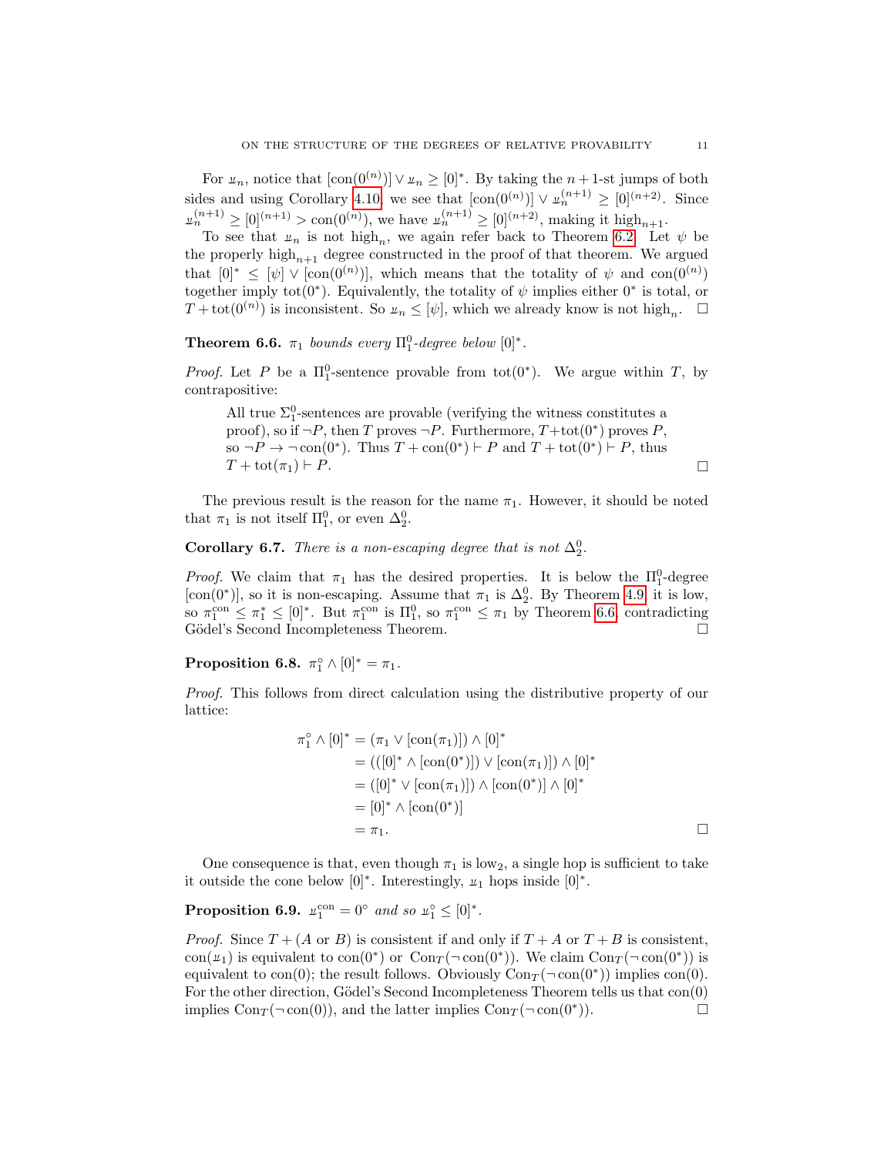For  $\mu_n$ , notice that  $[\text{con}(0^{(n)})] \vee \mu_n \geq [0]^*$ . By taking the  $n+1$ -st jumps of both sides and using Corollary [4.10,](#page-6-1) we see that  $[\text{con}(0^{(n)})] \vee \mu_n^{(n+1)} \geq [0]^{(n+2)}$ . Since  $\mu_n^{(n+1)} \geq [0]^{(n+1)} > \text{con}(0^{(n)}),$  we have  $\mu_n^{(n+1)} \geq [0]^{(n+2)}$ , making it high<sub>n+1</sub>.

To see that  $\mu_n$  is not high<sub>n</sub>, we again refer back to Theorem [6.2.](#page-8-1) Let  $\psi$  be the properly high<sub>n+1</sub> degree constructed in the proof of that theorem. We argued that  $[0]^* \n\t\leq [\psi] \vee [\text{con}(0^{(n)})]$ , which means that the totality of  $\psi$  and  $\text{con}(0^{(n)})$ together imply tot $(0^*)$ . Equivalently, the totality of  $\psi$  implies either  $0^*$  is total, or  $T + \text{tot}(0^{(n)})$  is inconsistent. So  $u_n \leq [\psi]$ , which we already know is not high<sub>n</sub>.  $\Box$ 

<span id="page-10-1"></span>**Theorem 6.6.**  $\pi_1$  bounds every  $\Pi_1^0$ -degree below  $[0]^*$ .

*Proof.* Let P be a  $\Pi_1^0$ -sentence provable from tot $(0^*)$ . We argue within T, by contrapositive:

All true 
$$
\Sigma_1^0
$$
-sentences are provable (verifying the witness constitutes a proof), so if  $\neg P$ , then  $T$  proves  $\neg P$ . Furthermore,  $T + \text{tot}(0^*)$  proves  $P$ , so  $\neg P \rightarrow \neg \text{con}(0^*)$ . Thus  $T + \text{con}(0^*) \vdash P$  and  $T + \text{tot}(0^*) \vdash P$ , thus  $T + \text{tot}(\pi_1) \vdash P$ .

The previous result is the reason for the name  $\pi_1$ . However, it should be noted that  $\pi_1$  is not itself  $\Pi_1^0$ , or even  $\Delta_2^0$ .

# <span id="page-10-0"></span>**Corollary 6.7.** There is a non-escaping degree that is not  $\Delta_2^0$ .

*Proof.* We claim that  $\pi_1$  has the desired properties. It is below the  $\Pi_1^0$ -degree [con(0<sup>\*</sup>)], so it is non-escaping. Assume that  $\pi_1$  is  $\Delta_2^0$ . By Theorem [4.9,](#page-5-1) it is low, so  $\pi_1^{\text{con}} \leq \pi_1^* \leq [0]^*$ . But  $\pi_1^{\text{con}}$  is  $\Pi_1^0$ , so  $\pi_1^{\text{con}} \leq \pi_1$  by Theorem [6.6,](#page-10-1) contradicting Gödel's Second Incompleteness Theorem.  $\Box$ 

Proposition 6.8.  $\pi_1^{\circ} \wedge [0]^* = \pi_1$ .

Proof. This follows from direct calculation using the distributive property of our lattice:

$$
\pi_1^{\circ} \wedge [0]^* = (\pi_1 \vee [\text{con}(\pi_1)]) \wedge [0]^*
$$
  
= (([0] \* \wedge [\text{con}(0^\*)]) \vee [\text{con}(\pi\_1)]) \wedge [0]^\*  
= ([0] \* \vee [\text{con}(\pi\_1)]) \wedge [\text{con}(0^\*)] \wedge [0]^\*  
= [0] \* \wedge [\text{con}(0^\*)]  
= \pi\_1.

One consequence is that, even though  $\pi_1$  is low<sub>2</sub>, a single hop is sufficient to take it outside the cone below  $[0]^*$ . Interestingly,  $\mu_1$  hops inside  $[0]^*$ .

# **Proposition 6.9.**  $\mu_1^{\text{con}} = 0^{\circ}$  and so  $\mu_1^{\circ} \leq [0]^*$ .

*Proof.* Since  $T + (A \text{ or } B)$  is consistent if and only if  $T + A$  or  $T + B$  is consistent, con( $u_1$ ) is equivalent to con( $0^*$ ) or  $Con_T(\neg con(0^*))$ . We claim  $Con_T(\neg con(0^*))$  is equivalent to con(0); the result follows. Obviously  $Con_T(\neg \text{con}(0^*))$  implies con(0). For the other direction, Gödel's Second Incompleteness Theorem tells us that  $con(0)$ implies Con $_T(\neg \text{con}(0))$ , and the latter implies Con $_T(\neg \text{con}(0^*)$ ).  $))$ .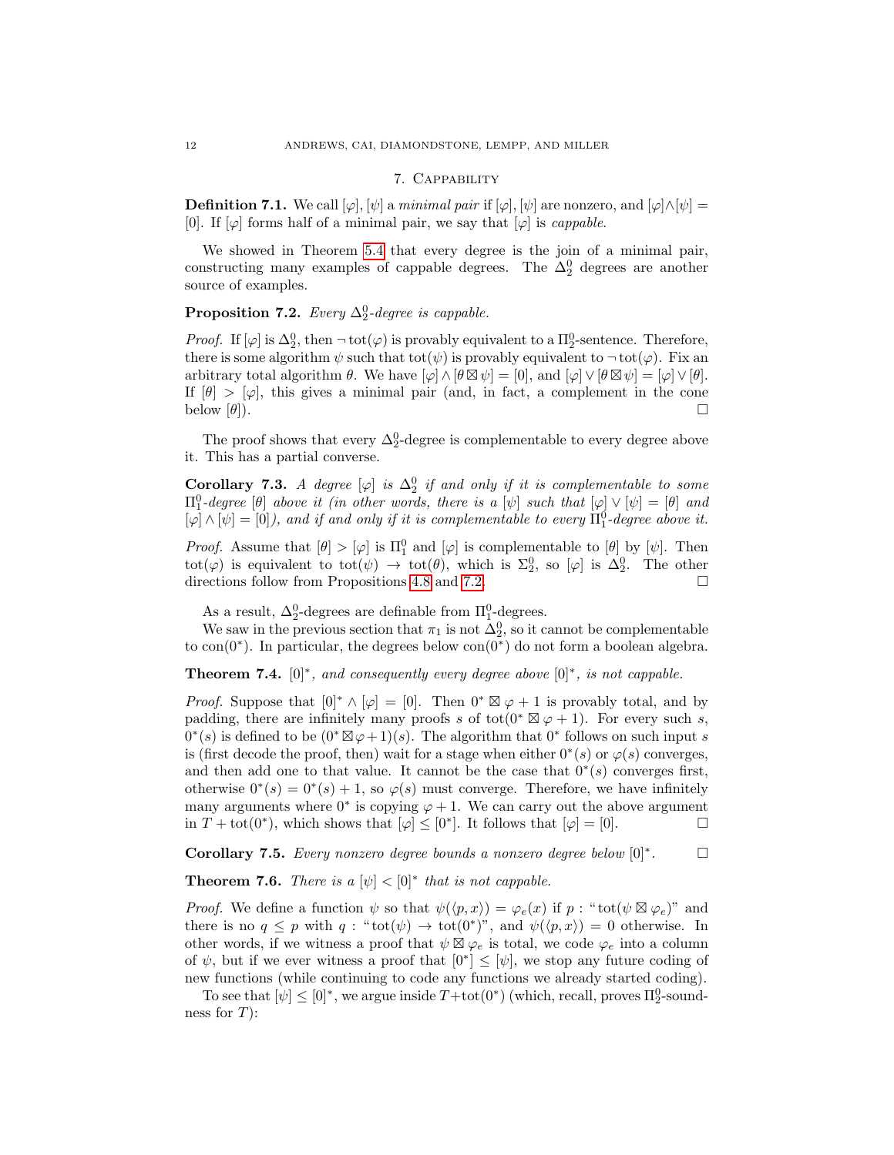### 7. Cappability

**Definition 7.1.** We call  $[\varphi], [\psi]$  a minimal pair if  $[\varphi], [\psi]$  are nonzero, and  $[\varphi] \wedge [\psi] =$ [0]. If  $[\varphi]$  forms half of a minimal pair, we say that  $[\varphi]$  is *cappable*.

We showed in Theorem [5.4](#page-7-2) that every degree is the join of a minimal pair, constructing many examples of cappable degrees. The  $\Delta_2^0$  degrees are another source of examples.

<span id="page-11-1"></span>**Proposition 7.2.** Every  $\Delta_2^0$ -degree is cappable.

*Proof.* If  $[\varphi]$  is  $\Delta_2^0$ , then  $\neg$  tot $(\varphi)$  is provably equivalent to a  $\Pi_2^0$ -sentence. Therefore, there is some algorithm  $\psi$  such that tot $(\psi)$  is provably equivalent to  $\neg$  tot $(\varphi)$ . Fix an arbitrary total algorithm  $\theta$ . We have  $[\varphi] \wedge [\theta \boxtimes \psi] = [0]$ , and  $[\varphi] \vee [\theta \boxtimes \psi] = [\varphi] \vee [\theta]$ . If  $[\theta] > [\varphi]$ , this gives a minimal pair (and, in fact, a complement in the cone below  $[\theta]$ ).

The proof shows that every  $\Delta_2^0$ -degree is complementable to every degree above it. This has a partial converse.

**Corollary 7.3.** A degree  $[\varphi]$  is  $\Delta_2^0$  if and only if it is complementable to some  $\Pi_1^0$ -degree  $[\theta]$  above it (in other words, there is a  $[\psi]$  such that  $[\varphi] \vee [\psi] = [\theta]$  and  $[\varphi] \wedge [\psi] = [0]$ , and if and only if it is complementable to every  $\Pi_1^0$ -degree above it.

*Proof.* Assume that  $[\theta] > [\varphi]$  is  $\Pi_1^0$  and  $[\varphi]$  is complementable to  $[\theta]$  by  $[\psi]$ . Then tot( $\varphi$ ) is equivalent to tot( $\psi$ )  $\to$  tot( $\theta$ ), which is  $\Sigma_2^0$ , so [ $\varphi$ ] is  $\Delta_2^0$ . The other directions follow from Propositions [4.8](#page-5-2) and [7.2.](#page-11-1)  $\Box$ 

As a result,  $\Delta_2^0$ -degrees are definable from  $\Pi_1^0$ -degrees.

We saw in the previous section that  $\pi_1$  is not  $\Delta_2^0$ , so it cannot be complementable to con( $0^*$ ). In particular, the degrees below con( $0^*$ ) do not form a boolean algebra.

**Theorem 7.4.**  $[0]^*$ , and consequently every degree above  $[0]^*$ , is not cappable.

*Proof.* Suppose that  $[0]^* \wedge [\varphi] = [0]$ . Then  $0^* \boxtimes \varphi + 1$  is provably total, and by padding, there are infinitely many proofs s of tot $(0^* \boxtimes \varphi + 1)$ . For every such s,  $0^*(s)$  is defined to be  $(0^*\boxtimes \varphi+1)(s)$ . The algorithm that  $0^*$  follows on such input s is (first decode the proof, then) wait for a stage when either  $0^*(s)$  or  $\varphi(s)$  converges, and then add one to that value. It cannot be the case that  $0^*(s)$  converges first, otherwise  $0^*(s) = 0^*(s) + 1$ , so  $\varphi(s)$  must converge. Therefore, we have infinitely many arguments where  $0^*$  is copying  $\varphi + 1$ . We can carry out the above argument in  $T + \text{tot}(0^*)$ , which shows that  $[\varphi] \leq [0^*]$ . It follows that  $[\varphi] = [0]$ .

Corollary 7.5. Every nonzero degree bounds a nonzero degree below  $[0]^*$ .  $\Box$ 

**Theorem 7.6.** There is a  $[\psi] < [0]^*$  that is not cappable.

*Proof.* We define a function  $\psi$  so that  $\psi(\langle p, x \rangle) = \varphi_e(x)$  if  $p : \text{``tot}( \psi \boxtimes \varphi_e)$ " and there is no  $q \leq p$  with  $q : "tot(\psi) \to tot(0^*)$ ", and  $\psi(\langle p, x \rangle) = 0$  otherwise. In other words, if we witness a proof that  $\psi \boxtimes \varphi_e$  is total, we code  $\varphi_e$  into a column of  $\psi$ , but if we ever witness a proof that  $[0^*] \leq [\psi]$ , we stop any future coding of new functions (while continuing to code any functions we already started coding).

To see that  $[\psi] \leq [0]^*$ , we argue inside  $T + \text{tot}(0^*)$  (which, recall, proves  $\Pi_2^0$ -soundness for  $T$ :

<span id="page-11-0"></span>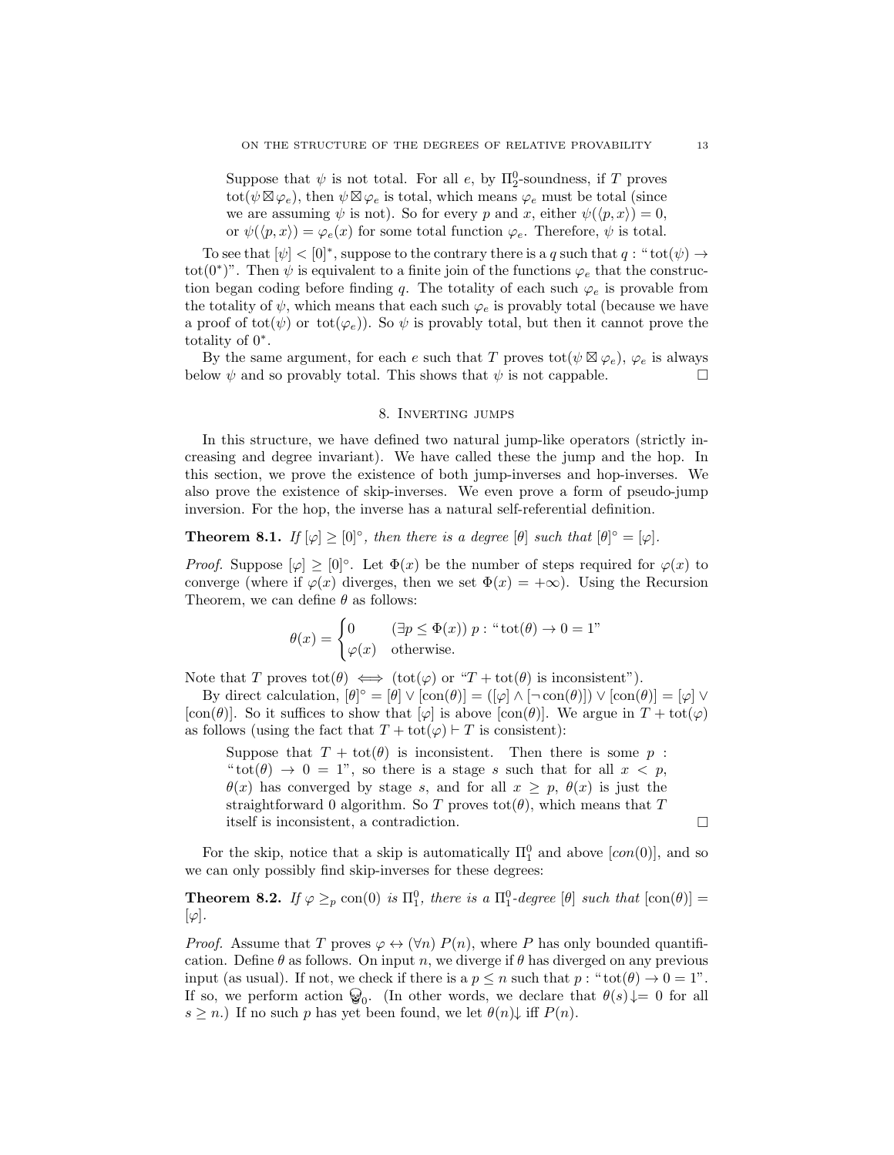Suppose that  $\psi$  is not total. For all  $e$ , by  $\Pi_2^0$ -soundness, if T proves tot $(\psi \boxtimes \varphi_e)$ , then  $\psi \boxtimes \varphi_e$  is total, which means  $\varphi_e$  must be total (since we are assuming  $\psi$  is not). So for every p and x, either  $\psi(\langle p, x \rangle) = 0$ , or  $\psi(\langle p, x \rangle) = \varphi_e(x)$  for some total function  $\varphi_e$ . Therefore,  $\psi$  is total.

To see that  $[\psi] < [0]^*$ , suppose to the contrary there is a q such that  $q:$  "tot $(\psi) \rightarrow$ tot(0<sup>\*</sup>)". Then  $\psi$  is equivalent to a finite join of the functions  $\varphi_e$  that the construction began coding before finding q. The totality of each such  $\varphi_e$  is provable from the totality of  $\psi$ , which means that each such  $\varphi_e$  is provably total (because we have a proof of tot( $\psi$ ) or tot( $\varphi_e$ )). So  $\psi$  is provably total, but then it cannot prove the totality of 0<sup>∗</sup> .

By the same argument, for each e such that T proves  $\text{tot}(\psi \boxtimes \varphi_e)$ ,  $\varphi_e$  is always below  $\psi$  and so provably total. This shows that  $\psi$  is not cappable.

### 8. Inverting jumps

<span id="page-12-0"></span>In this structure, we have defined two natural jump-like operators (strictly increasing and degree invariant). We have called these the jump and the hop. In this section, we prove the existence of both jump-inverses and hop-inverses. We also prove the existence of skip-inverses. We even prove a form of pseudo-jump inversion. For the hop, the inverse has a natural self-referential definition.

## **Theorem 8.1.** If  $[\varphi] \geq [0]^\circ$ , then there is a degree  $[\theta]$  such that  $[\theta]^\circ = [\varphi]$ .

*Proof.* Suppose  $[\varphi] \geq [0]^\circ$ . Let  $\Phi(x)$  be the number of steps required for  $\varphi(x)$  to converge (where if  $\varphi(x)$  diverges, then we set  $\Phi(x) = +\infty$ ). Using the Recursion Theorem, we can define  $\theta$  as follows:

$$
\theta(x) = \begin{cases} 0 & (\exists p \le \Phi(x)) \ p : \text{``tot}(\theta) \to 0 = 1" \\ \varphi(x) & \text{otherwise.} \end{cases}
$$

Note that T proves  $\mathrm{tot}(\theta) \iff (\mathrm{tot}(\varphi) \text{ or } "T + \mathrm{tot}(\theta))$  is inconsistent").

By direct calculation,  $[\theta]^\circ = [\theta] \vee [\text{con}(\theta)] = ([\varphi] \wedge [\neg \text{con}(\theta)]) \vee [\text{con}(\theta)] = [\varphi] \vee [\varphi]$ [con( $\theta$ ]. So it suffices to show that [ $\varphi$ ] is above [con( $\theta$ )]. We argue in  $T + \text{tot}(\varphi)$ as follows (using the fact that  $T + \text{tot}(\varphi) \vdash T$  is consistent):

Suppose that  $T + \text{tot}(\theta)$  is inconsistent. Then there is some p: " $tot(\theta) \rightarrow 0 = 1$ ", so there is a stage s such that for all  $x < p$ ,  $\theta(x)$  has converged by stage s, and for all  $x \geq p$ ,  $\theta(x)$  is just the straightforward 0 algorithm. So T proves tot( $\theta$ ), which means that T itself is inconsistent, a contradiction.

For the skip, notice that a skip is automatically  $\Pi_1^0$  and above  $[con(0)]$ , and so we can only possibly find skip-inverses for these degrees:

**Theorem 8.2.** If  $\varphi \geq_{p} \text{con}(0)$  is  $\Pi_1^0$ , there is a  $\Pi_1^0$ -degree  $[\theta]$  such that  $[\text{con}(\theta)] =$  $[\varphi]$ .

*Proof.* Assume that T proves  $\varphi \leftrightarrow (\forall n) P(n)$ , where P has only bounded quantification. Define  $\theta$  as follows. On input n, we diverge if  $\theta$  has diverged on any previous input (as usual). If not, we check if there is a  $p \leq n$  such that  $p : "tot(\theta) \to 0 = 1".$ If so, we perform action  $\mathcal{G}_0$ . (In other words, we declare that  $\theta(s) \downarrow = 0$  for all  $s \geq n$ .) If no such p has yet been found, we let  $\theta(n)$  iff  $P(n)$ .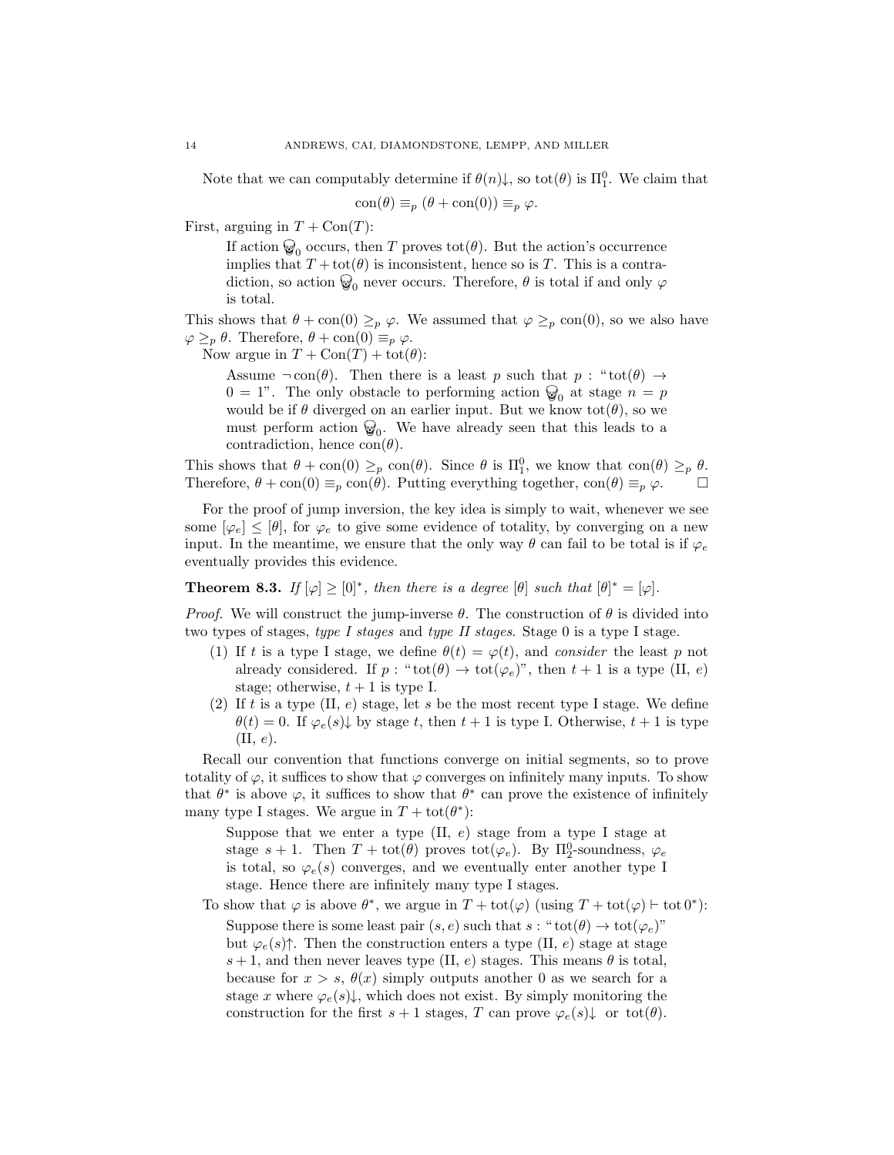Note that we can computably determine if  $\theta(n)\downarrow$ , so tot $(\theta)$  is  $\Pi_1^0$ . We claim that

$$
\text{con}(\theta) \equiv_p (\theta + \text{con}(0)) \equiv_p \varphi.
$$

First, arguing in  $T + \text{Con}(T)$ :

If action  $\mathcal{Q}_0$  occurs, then T proves tot( $\theta$ ). But the action's occurrence implies that  $T + \text{tot}(\theta)$  is inconsistent, hence so is T. This is a contradiction, so action  $\mathcal{D}_0$  never occurs. Therefore,  $\theta$  is total if and only  $\varphi$ is total.

This shows that  $\theta + \text{con}(0) \geq_p \varphi$ . We assumed that  $\varphi \geq_p \text{con}(0)$ , so we also have  $\varphi \geq_{p} \theta$ . Therefore,  $\theta + \text{con}(0) \equiv_{p} \varphi$ .

Now argue in  $T + \text{Con}(T) + \text{tot}(\theta)$ :

Assume  $\neg \text{con}(\theta)$ . Then there is a least p such that  $p : " \text{tot}(\theta) \rightarrow$  $0 = 1$ ". The only obstacle to performing action  $\mathcal{Q}_0$  at stage  $n = p$ would be if  $\theta$  diverged on an earlier input. But we know tot $(\theta)$ , so we must perform action  $\mathcal{G}_0$ . We have already seen that this leads to a contradiction, hence  $con(\theta)$ .

This shows that  $\theta + \text{con}(0) \geq_{p} \text{con}(\theta)$ . Since  $\theta$  is  $\Pi_1^0$ , we know that  $\text{con}(\theta) \geq_{p} \theta$ . Therefore,  $\theta + \text{con}(0) \equiv_p \text{con}(\theta)$ . Putting everything together,  $\text{con}(\theta) \equiv_p \varphi$ .  $\Box$ 

For the proof of jump inversion, the key idea is simply to wait, whenever we see some  $[\varphi_e] \leq [\theta]$ , for  $\varphi_e$  to give some evidence of totality, by converging on a new input. In the meantime, we ensure that the only way  $\theta$  can fail to be total is if  $\varphi_e$ eventually provides this evidence.

<span id="page-13-0"></span>**Theorem 8.3.** If  $[\varphi] \geq [0]^*$ , then there is a degree  $[\theta]$  such that  $[\theta]^* = [\varphi]$ .

*Proof.* We will construct the jump-inverse  $\theta$ . The construction of  $\theta$  is divided into two types of stages, type I stages and type II stages. Stage 0 is a type I stage.

- (1) If t is a type I stage, we define  $\theta(t) = \varphi(t)$ , and consider the least p not already considered. If  $p : "tot(\theta) \to tot(\varphi_e)$ ", then  $t + 1$  is a type (II, e) stage; otherwise,  $t + 1$  is type I.
- (2) If t is a type  $(II, e)$  stage, let s be the most recent type I stage. We define  $\theta(t) = 0$ . If  $\varphi_e(s) \downarrow$  by stage t, then  $t + 1$  is type I. Otherwise,  $t + 1$  is type  $(II, e).$

Recall our convention that functions converge on initial segments, so to prove totality of  $\varphi$ , it suffices to show that  $\varphi$  converges on infinitely many inputs. To show that  $\theta^*$  is above  $\varphi$ , it suffices to show that  $\theta^*$  can prove the existence of infinitely many type I stages. We argue in  $T + \text{tot}(\theta^*)$ :

Suppose that we enter a type  $(II, e)$  stage from a type I stage at stage  $s + 1$ . Then  $T + \text{tot}(\theta)$  proves  $\text{tot}(\varphi_e)$ . By  $\Pi_2^0$ -soundness,  $\varphi_e$ is total, so  $\varphi_e(s)$  converges, and we eventually enter another type I stage. Hence there are infinitely many type I stages.

To show that  $\varphi$  is above  $\theta^*$ , we argue in  $T + \text{tot}(\varphi)$  (using  $T + \text{tot}(\varphi) \vdash \text{tot } 0^*$ ): Suppose there is some least pair  $(s, e)$  such that  $s : "tot(\theta) \to tot(\varphi_e)"$ but  $\varphi_e(s)$ . Then the construction enters a type (II, e) stage at stage  $s+1$ , and then never leaves type (II, e) stages. This means  $\theta$  is total, because for  $x > s$ ,  $\theta(x)$  simply outputs another 0 as we search for a stage x where  $\varphi_e(s)$ , which does not exist. By simply monitoring the construction for the first  $s + 1$  stages, T can prove  $\varphi_e(s) \downarrow$  or tot( $\theta$ ).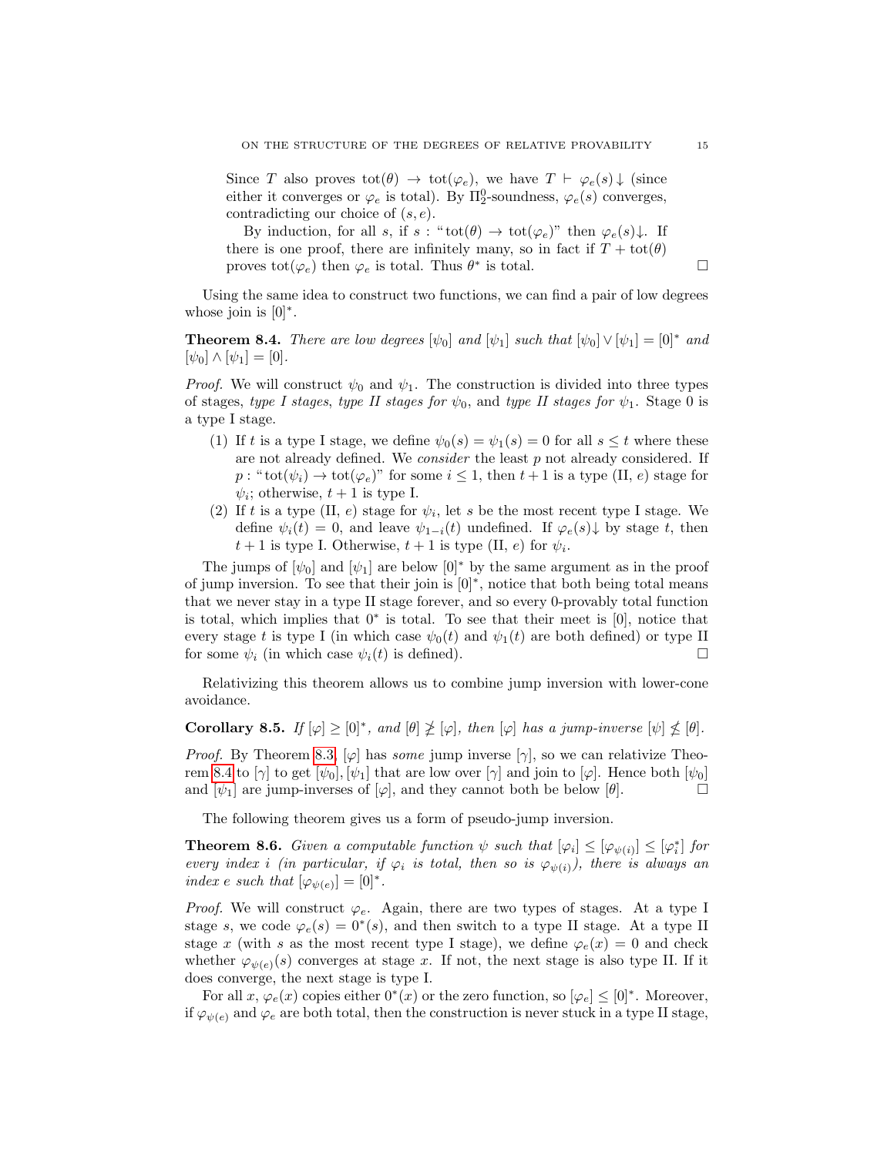Since T also proves  $\text{tot}(\theta) \rightarrow \text{tot}(\varphi_e)$ , we have  $T \vdash \varphi_e(s) \downarrow$  (since either it converges or  $\varphi_e$  is total). By  $\Pi_2^0$ -soundness,  $\varphi_e(s)$  converges, contradicting our choice of  $(s, e)$ .

By induction, for all s, if s : " $\text{tot}(\theta) \to \text{tot}(\varphi_e)$ " then  $\varphi_e(s) \downarrow$ . If there is one proof, there are infinitely many, so in fact if  $T + \text{tot}(\theta)$ proves  $\text{tot}(\varphi_e)$  then  $\varphi_e$  is total. Thus  $\theta^*$  is total.

Using the same idea to construct two functions, we can find a pair of low degrees whose join is  $[0]^*$ .

<span id="page-14-0"></span>**Theorem 8.4.** There are low degrees  $[\psi_0]$  and  $[\psi_1]$  such that  $[\psi_0] \vee [\psi_1] = [0]^*$  and  $[\psi_0] \wedge [\psi_1] = [0].$ 

*Proof.* We will construct  $\psi_0$  and  $\psi_1$ . The construction is divided into three types of stages, type I stages, type II stages for  $\psi_0$ , and type II stages for  $\psi_1$ . Stage 0 is a type I stage.

- (1) If t is a type I stage, we define  $\psi_0(s) = \psi_1(s) = 0$  for all  $s \leq t$  where these are not already defined. We *consider* the least  $p$  not already considered. If  $p:$  " $\text{tot}(\psi_i) \to \text{tot}(\varphi_e)$ " for some  $i \leq 1$ , then  $t+1$  is a type (II, e) stage for  $\psi_i$ ; otherwise,  $t+1$  is type I.
- (2) If t is a type (II, e) stage for  $\psi_i$ , let s be the most recent type I stage. We define  $\psi_i(t) = 0$ , and leave  $\psi_{1-i}(t)$  undefined. If  $\varphi_e(s) \downarrow$  by stage t, then  $t+1$  is type I. Otherwise,  $t+1$  is type (II, e) for  $\psi_i$ .

The jumps of  $[\psi_0]$  and  $[\psi_1]$  are below  $[0]^*$  by the same argument as in the proof of jump inversion. To see that their join is [0]<sup>∗</sup> , notice that both being total means that we never stay in a type II stage forever, and so every 0-provably total function is total, which implies that 0<sup>∗</sup> is total. To see that their meet is [0], notice that every stage t is type I (in which case  $\psi_0(t)$  and  $\psi_1(t)$  are both defined) or type II for some  $\psi_i$  (in which case  $\psi_i(t)$  is defined).

Relativizing this theorem allows us to combine jump inversion with lower-cone avoidance.

<span id="page-14-1"></span>Corollary 8.5. If  $[\varphi] \geq [0]^*$ , and  $[\theta] \not\geq [\varphi]$ , then  $[\varphi]$  has a jump-inverse  $[\psi] \not\leq [\theta]$ .

*Proof.* By Theorem [8.3,](#page-13-0)  $[\varphi]$  has *some* jump inverse  $[\gamma]$ , so we can relativize Theo-rem [8.4](#page-14-0) to [ $\gamma$ ] to get  $[\psi_0], [\psi_1]$  that are low over [ $\gamma$ ] and join to [ $\varphi$ ]. Hence both [ $\psi_0$ ] and  $[\psi_1]$  are jump-inverses of  $[\varphi]$ , and they cannot both be below  $[\theta]$ .

The following theorem gives us a form of pseudo-jump inversion.

<span id="page-14-2"></span>**Theorem 8.6.** Given a computable function  $\psi$  such that  $[\varphi_i] \leq [\varphi_{\psi(i)}] \leq [\varphi_i^*]$  for every index i (in particular, if  $\varphi_i$  is total, then so is  $\varphi_{\psi(i)}$ ), there is always an index e such that  $[\varphi_{\psi(e)}] = [0]^*$ .

*Proof.* We will construct  $\varphi_e$ . Again, there are two types of stages. At a type I stage s, we code  $\varphi_e(s) = 0^*(s)$ , and then switch to a type II stage. At a type II stage x (with s as the most recent type I stage), we define  $\varphi_e(x) = 0$  and check whether  $\varphi_{\psi(e)}(s)$  converges at stage x. If not, the next stage is also type II. If it does converge, the next stage is type I.

For all x,  $\varphi_e(x)$  copies either  $0^*(x)$  or the zero function, so  $[\varphi_e] \leq [0]^*$ . Moreover, if  $\varphi_{\psi(e)}$  and  $\varphi_e$  are both total, then the construction is never stuck in a type II stage,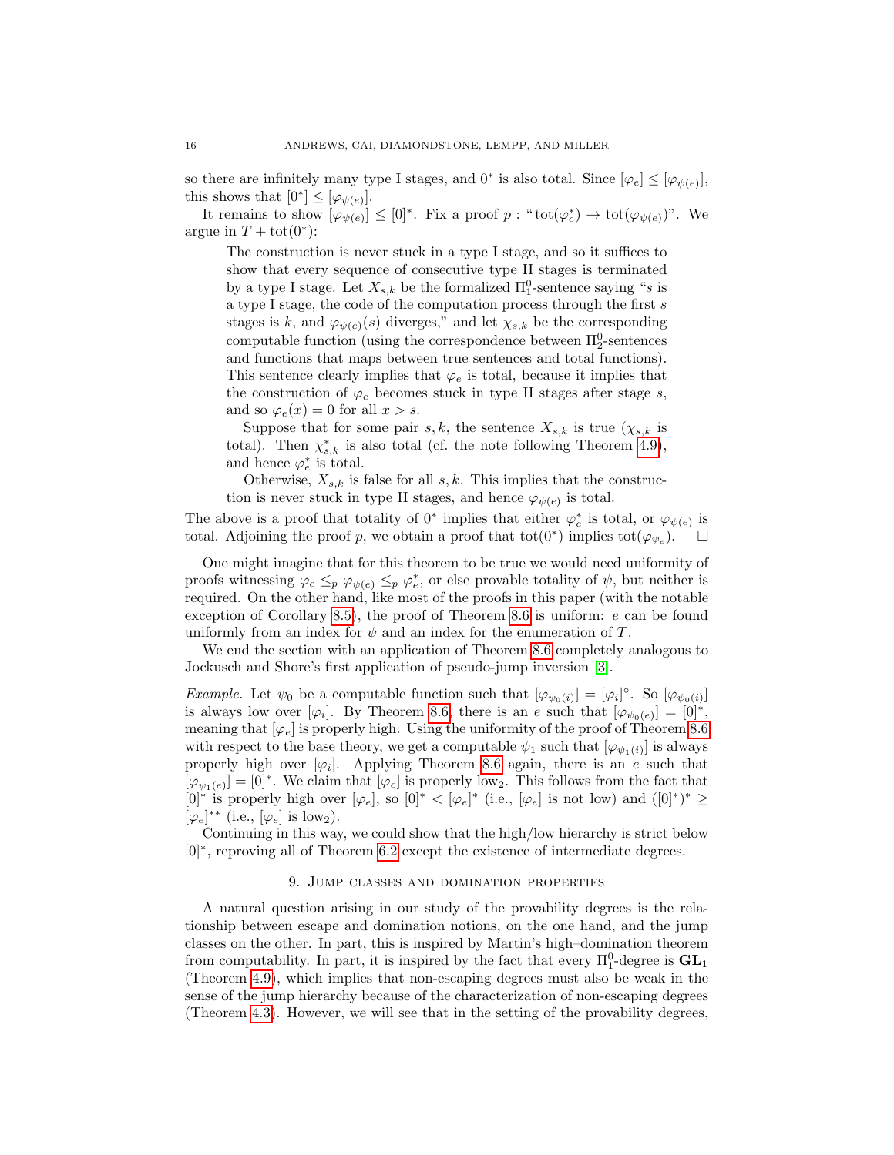so there are infinitely many type I stages, and  $0^*$  is also total. Since  $[\varphi_e] \leq [\varphi_{\psi(e)}]$ , this shows that  $[0^*] \leq [\varphi_{\psi(e)}].$ 

It remains to show  $[\varphi_{\psi(e)}] \leq [0]^*$ . Fix a proof  $p : \text{``tot}(\varphi_e^*) \to \text{tot}(\varphi_{\psi(e)})$ ". We argue in  $T + \text{tot}(0^*)$ :

The construction is never stuck in a type I stage, and so it suffices to show that every sequence of consecutive type II stages is terminated by a type I stage. Let  $X_{s,k}$  be the formalized  $\Pi_1^0$ -sentence saying "s is a type I stage, the code of the computation process through the first  $s$ stages is k, and  $\varphi_{\psi(e)}(s)$  diverges," and let  $\chi_{s,k}$  be the corresponding computable function (using the correspondence between  $\Pi^0_2$ -sentences and functions that maps between true sentences and total functions). This sentence clearly implies that  $\varphi_e$  is total, because it implies that the construction of  $\varphi_e$  becomes stuck in type II stages after stage s, and so  $\varphi_e(x) = 0$  for all  $x > s$ .

Suppose that for some pair s, k, the sentence  $X_{s,k}$  is true  $(\chi_{s,k})$  is total). Then  $\chi^*_{s,k}$  is also total (cf. the note following Theorem [4.9\)](#page-5-1), and hence  $\varphi_e^*$  is total.

Otherwise,  $X_{s,k}$  is false for all s, k. This implies that the construction is never stuck in type II stages, and hence  $\varphi_{\psi(e)}$  is total.

The above is a proof that totality of  $0^*$  implies that either  $\varphi_e^*$  is total, or  $\varphi_{\psi(e)}$  is total. Adjoining the proof p, we obtain a proof that  $\text{tot}(0^*)$  implies  $\text{tot}(\varphi_{\psi_e})$  $\Box$ 

One might imagine that for this theorem to be true we would need uniformity of proofs witnessing  $\varphi_e \leq_p \varphi_{\psi(e)} \leq_p \varphi_e^*$ , or else provable totality of  $\psi$ , but neither is required. On the other hand, like most of the proofs in this paper (with the notable exception of Corollary [8.5\)](#page-14-1), the proof of Theorem [8.6](#page-14-2) is uniform: e can be found uniformly from an index for  $\psi$  and an index for the enumeration of T.

We end the section with an application of Theorem [8.6](#page-14-2) completely analogous to Jockusch and Shore's first application of pseudo-jump inversion [\[3\]](#page-20-3).

*Example.* Let  $\psi_0$  be a computable function such that  $[\varphi_{\psi_0(i)}] = [\varphi_i]^\circ$ . So  $[\varphi_{\psi_0(i)}]$ is always low over  $[\varphi_i]$ . By Theorem [8.6,](#page-14-2) there is an e such that  $[\varphi_{\psi_0(e)}] = [0]^*,$ meaning that  $[\varphi_e]$  is properly high. Using the uniformity of the proof of Theorem [8.6](#page-14-2) with respect to the base theory, we get a computable  $\psi_1$  such that  $[\varphi_{\psi_1(i)}]$  is always properly high over  $[\varphi_i]$ . Applying Theorem [8.6](#page-14-2) again, there is an e such that  $[\varphi_{\psi_1(e)}] = [0]^*$ . We claim that  $[\varphi_e]$  is properly low<sub>2</sub>. This follows from the fact that [0]<sup>∗</sup> is properly high over  $[\varphi_e]$ , so  $[0]^* < [\varphi_e]^*$  (i.e.,  $[\varphi_e]$  is not low) and  $([0]^*)^* \ge$  $[\varphi_e]^{**}$  (i.e.,  $[\varphi_e]$  is low<sub>2</sub>).

Continuing in this way, we could show that the high/low hierarchy is strict below [0]<sup>∗</sup>, reproving all of Theorem [6.2](#page-8-1) except the existence of intermediate degrees.

### 9. Jump classes and domination properties

<span id="page-15-0"></span>A natural question arising in our study of the provability degrees is the relationship between escape and domination notions, on the one hand, and the jump classes on the other. In part, this is inspired by Martin's high–domination theorem from computability. In part, it is inspired by the fact that every  $\Pi_1^0$ -degree is  $\mathbf{GL}_1$ (Theorem [4.9\)](#page-5-1), which implies that non-escaping degrees must also be weak in the sense of the jump hierarchy because of the characterization of non-escaping degrees (Theorem [4.3\)](#page-5-0). However, we will see that in the setting of the provability degrees,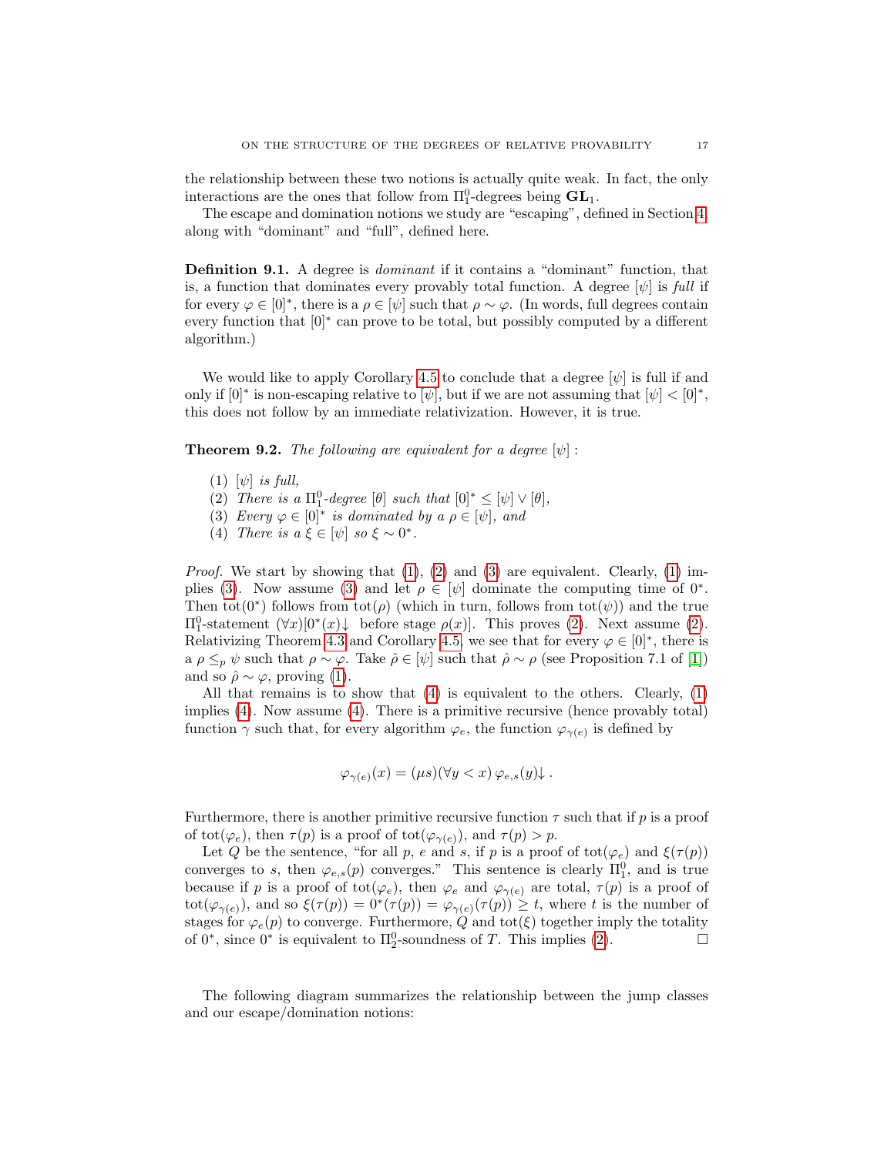the relationship between these two notions is actually quite weak. In fact, the only interactions are the ones that follow from  $\Pi_1^0$ -degrees being  $\mathbf{GL}_1$ .

The escape and domination notions we study are "escaping", defined in Section [4,](#page-4-0) along with "dominant" and "full", defined here.

Definition 9.1. A degree is dominant if it contains a "dominant" function, that is, a function that dominates every provably total function. A degree  $[\psi]$  is full if for every  $\varphi \in [0]^*$ , there is a  $\rho \in [\psi]$  such that  $\rho \sim \varphi$ . (In words, full degrees contain every function that  $[0]^*$  can prove to be total, but possibly computed by a different algorithm.)

We would like to apply Corollary [4.5](#page-5-3) to conclude that a degree  $[\psi]$  is full if and only if  $[0]^*$  is non-escaping relative to  $[\psi]$ , but if we are not assuming that  $[\psi] < [0]^*$ , this does not follow by an immediate relativization. However, it is true.

<span id="page-16-4"></span>**Theorem 9.2.** The following are equivalent for a degree  $[\psi]$ :

- <span id="page-16-0"></span> $(1)$   $[\psi]$  is full,
- <span id="page-16-1"></span>(2) There is a  $\Pi_1^0$ -degree  $[\theta]$  such that  $[0]^* \leq [\psi] \vee [\theta]$ ,
- <span id="page-16-2"></span>(3) Every  $\varphi \in [0]^*$  is dominated by a  $\rho \in [\psi]$ , and
- <span id="page-16-3"></span>(4) There is  $a \xi \in [\psi]$  so  $\xi \sim 0^*$ .

*Proof.* We start by showing that  $(1)$ ,  $(2)$  and  $(3)$  are equivalent. Clearly,  $(1)$  im-plies [\(3\)](#page-16-2). Now assume (3) and let  $\rho \in [\psi]$  dominate the computing time of  $0^*$ . Then tot(0<sup>\*</sup>) follows from tot( $\rho$ ) (which in turn, follows from tot( $\psi$ )) and the true  $\Pi_1^0$ -statement  $(∀x)[0*(x)↓$  before stage  $ρ(x)$ . This proves [\(2\)](#page-16-1). Next assume (2). Relativizing Theorem [4.3](#page-5-0) and Corollary [4.5,](#page-5-3) we see that for every  $\varphi \in [0]^*$ , there is a  $\rho \leq_p \psi$  such that  $\rho \sim \varphi$ . Take  $\hat{\rho} \in [\psi]$  such that  $\hat{\rho} \sim \rho$  (see Proposition 7.1 of [\[1\]](#page-20-2)) and so  $\hat{\rho} \sim \varphi$ , proving [\(1\)](#page-16-0).

All that remains is to show that  $(4)$  is equivalent to the others. Clearly,  $(1)$ implies [\(4\)](#page-16-3). Now assume [\(4\)](#page-16-3). There is a primitive recursive (hence provably total) function  $\gamma$  such that, for every algorithm  $\varphi_e$ , the function  $\varphi_{\gamma(e)}$  is defined by

$$
\varphi_{\gamma(e)}(x) = (\mu s)(\forall y < x) \, \varphi_{e,s}(y) \downarrow \, .
$$

Furthermore, there is another primitive recursive function  $\tau$  such that if p is a proof of tot( $\varphi_e$ ), then  $\tau(p)$  is a proof of tot( $\varphi_{\gamma(e)}$ ), and  $\tau(p) > p$ .

Let Q be the sentence, "for all p, e and s, if p is a proof of tot( $\varphi_e$ ) and  $\xi(\tau(p))$ converges to s, then  $\varphi_{e,s}(p)$  converges." This sentence is clearly  $\Pi_1^0$ , and is true because if p is a proof of tot( $\varphi_e$ ), then  $\varphi_e$  and  $\varphi_{\gamma(e)}$  are total,  $\tau(p)$  is a proof of tot( $\varphi_{\gamma(e)}$ ), and so  $\xi(\tau(p)) = 0^*(\tau(p)) = \varphi_{\gamma(e)}(\tau(p)) \geq t$ , where t is the number of stages for  $\varphi_e(p)$  to converge. Furthermore,  $Q$  and tot( $\xi$ ) together imply the totality of  $0^*$ , since  $0^*$  is equivalent to  $\Pi_2^0$ -soundness of T. This implies [\(2\)](#page-16-1).

The following diagram summarizes the relationship between the jump classes and our escape/domination notions: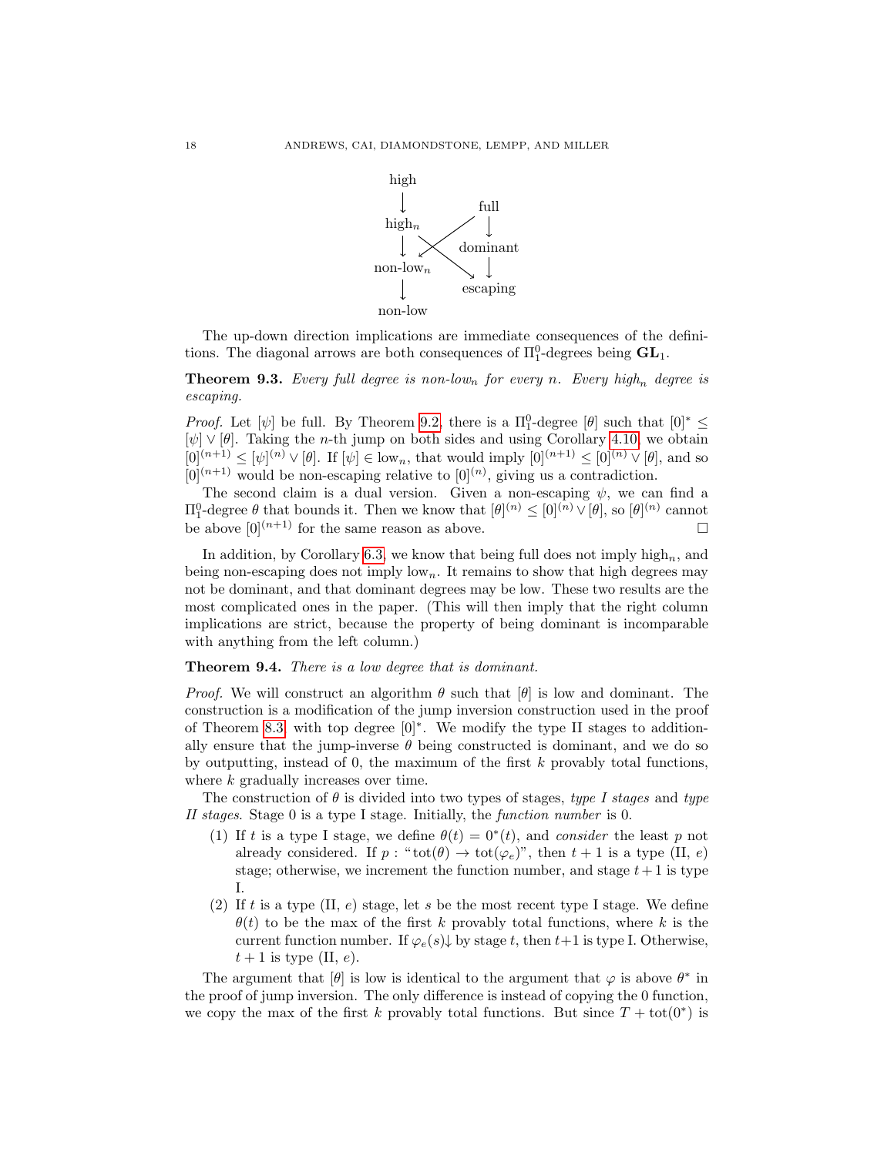

The up-down direction implications are immediate consequences of the definitions. The diagonal arrows are both consequences of  $\Pi^0_1$ -degrees being  $\mathbf{GL}_1$ .

**Theorem 9.3.** Every full degree is non-low<sub>n</sub> for every n. Every high<sub>n</sub> degree is escaping.

*Proof.* Let  $[\psi]$  be full. By Theorem [9.2,](#page-16-4) there is a  $\Pi_1^0$ -degree  $[\theta]$  such that  $[0]^* \leq$  $[\psi] \vee [\theta]$ . Taking the *n*-th jump on both sides and using Corollary [4.10,](#page-6-1) we obtain  $[0]^{(n+1)} \leq [\psi]^{(n)} \vee [\theta]$ . If  $[\psi] \in \text{low}_n$ , that would imply  $[0]^{(n+1)} \leq [0]^{(n)} \vee [\theta]$ , and so  $[0]^{(n+1)}$  would be non-escaping relative to  $[0]^{(n)}$ , giving us a contradiction.

The second claim is a dual version. Given a non-escaping  $\psi$ , we can find a  $\Pi_1^0$ -degree  $\theta$  that bounds it. Then we know that  $[\theta]^{(n)} \leq [0]^{(n)} \vee [\theta]$ , so  $[\theta]^{(n)}$  cannot be above  $[0]^{(n+1)}$  for the same reason as above.

In addition, by Corollary [6.3,](#page-9-0) we know that being full does not imply  $high_n$ , and being non-escaping does not imply  $\text{low}_n$ . It remains to show that high degrees may not be dominant, and that dominant degrees may be low. These two results are the most complicated ones in the paper. (This will then imply that the right column implications are strict, because the property of being dominant is incomparable with anything from the left column.)

Theorem 9.4. There is a low degree that is dominant.

*Proof.* We will construct an algorithm  $\theta$  such that  $[\theta]$  is low and dominant. The construction is a modification of the jump inversion construction used in the proof of Theorem [8.3,](#page-13-0) with top degree [0]<sup>∗</sup> . We modify the type II stages to additionally ensure that the jump-inverse  $\theta$  being constructed is dominant, and we do so by outputting, instead of 0, the maximum of the first  $k$  provably total functions, where k gradually increases over time.

The construction of  $\theta$  is divided into two types of stages, type I stages and type II stages. Stage 0 is a type I stage. Initially, the function number is 0.

- (1) If t is a type I stage, we define  $\theta(t) = 0^*(t)$ , and consider the least p not already considered. If  $p : "tot(\theta) \to tot(\varphi_e)$ ", then  $t + 1$  is a type (II, e) stage; otherwise, we increment the function number, and stage  $t+1$  is type I.
- (2) If t is a type  $(II, e)$  stage, let s be the most recent type I stage. We define  $\theta(t)$  to be the max of the first k provably total functions, where k is the current function number. If  $\varphi_e(s) \downarrow$  by stage t, then t+1 is type I. Otherwise,  $t+1$  is type (II, e).

The argument that  $[\theta]$  is low is identical to the argument that  $\varphi$  is above  $\theta^*$  in the proof of jump inversion. The only difference is instead of copying the 0 function, we copy the max of the first k provably total functions. But since  $T + \text{tot}(0^*)$  is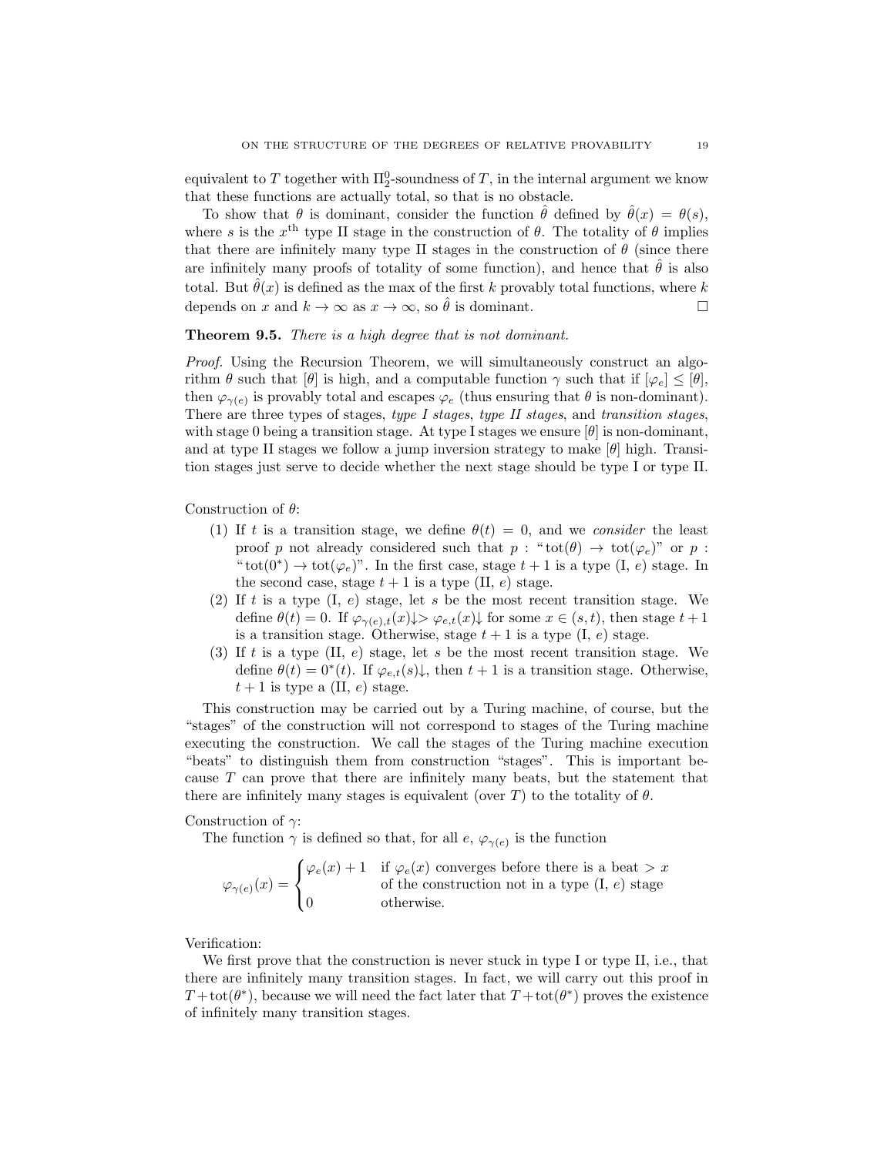equivalent to T together with  $\Pi^0_2$ -soundness of T, in the internal argument we know that these functions are actually total, so that is no obstacle.

To show that  $\theta$  is dominant, consider the function  $\hat{\theta}$  defined by  $\hat{\theta}(x) = \theta(s)$ , where s is the  $x<sup>th</sup>$  type II stage in the construction of  $\theta$ . The totality of  $\theta$  implies that there are infinitely many type II stages in the construction of  $\theta$  (since there are infinitely many proofs of totality of some function), and hence that  $\hat{\theta}$  is also total. But  $\hat{\theta}(x)$  is defined as the max of the first k provably total functions, where k depends on x and  $k \to \infty$  as  $x \to \infty$ , so  $\hat{\theta}$  is dominant.

## Theorem 9.5. There is a high degree that is not dominant.

Proof. Using the Recursion Theorem, we will simultaneously construct an algorithm  $\theta$  such that  $[\theta]$  is high, and a computable function  $\gamma$  such that if  $[\varphi_e] \leq [\theta]$ , then  $\varphi_{\gamma(e)}$  is provably total and escapes  $\varphi_e$  (thus ensuring that  $\theta$  is non-dominant). There are three types of stages, type I stages, type II stages, and transition stages, with stage 0 being a transition stage. At type I stages we ensure  $[\theta]$  is non-dominant, and at type II stages we follow a jump inversion strategy to make  $[\theta]$  high. Transition stages just serve to decide whether the next stage should be type I or type II.

Construction of  $\theta$ :

- (1) If t is a transition stage, we define  $\theta(t) = 0$ , and we consider the least proof p not already considered such that  $p : "tot(\theta) \to tot(\varphi_e)$ " or p: " $\text{tot}(0^*) \to \text{tot}(\varphi_e)$ ". In the first case, stage  $t + 1$  is a type  $(I, e)$  stage. In the second case, stage  $t + 1$  is a type (II, e) stage.
- (2) If t is a type  $(I, e)$  stage, let s be the most recent transition stage. We define  $\theta(t) = 0$ . If  $\varphi_{\gamma(e),t}(x) \downarrow > \varphi_{e,t}(x) \downarrow$  for some  $x \in (s,t)$ , then stage  $t+1$ is a transition stage. Otherwise, stage  $t + 1$  is a type  $(I, e)$  stage.
- (3) If t is a type  $(II, e)$  stage, let s be the most recent transition stage. We define  $\theta(t) = 0^*(t)$ . If  $\varphi_{e,t}(s)\downarrow$ , then  $t+1$  is a transition stage. Otherwise,  $t+1$  is type a (II, e) stage.

This construction may be carried out by a Turing machine, of course, but the "stages" of the construction will not correspond to stages of the Turing machine executing the construction. We call the stages of the Turing machine execution "beats" to distinguish them from construction "stages". This is important because T can prove that there are infinitely many beats, but the statement that there are infinitely many stages is equivalent (over T) to the totality of  $\theta$ .

#### Construction of  $\gamma$ :

The function  $\gamma$  is defined so that, for all  $e, \varphi_{\gamma(e)}$  is the function

$$
\varphi_{\gamma(e)}(x) = \begin{cases} \varphi_e(x) + 1 & \text{if } \varphi_e(x) \text{ converges before there is a beat } > x \\ 0 & \text{of the construction not in a type (I, e) stage} \\ 0 & \text{otherwise.} \end{cases}
$$

Verification:

We first prove that the construction is never stuck in type I or type II, i.e., that there are infinitely many transition stages. In fact, we will carry out this proof in  $T + \text{tot}(\theta^*)$ , because we will need the fact later that  $T + \text{tot}(\theta^*)$  proves the existence of infinitely many transition stages.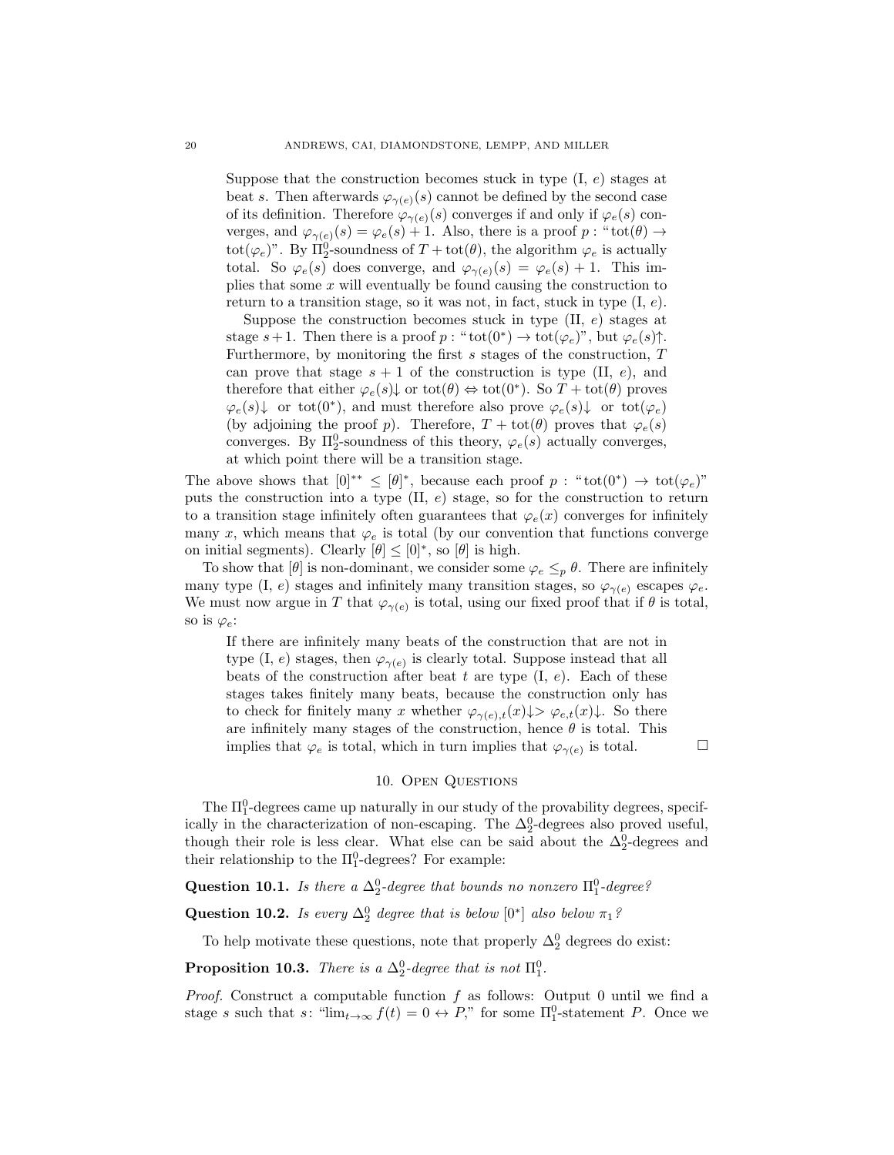Suppose that the construction becomes stuck in type  $(I, e)$  stages at beat s. Then afterwards  $\varphi_{\gamma(e)}(s)$  cannot be defined by the second case of its definition. Therefore  $\varphi_{\gamma(e)}(s)$  converges if and only if  $\varphi_e(s)$  converges, and  $\varphi_{\gamma(e)}(s) = \varphi_e(s) + 1$ . Also, there is a proof  $p : "tot(\theta) \to$ tot( $\varphi_e$ )". By  $\Pi_2^0$ -soundness of  $T + \text{tot}(\theta)$ , the algorithm  $\varphi_e$  is actually total. So  $\varphi_e(s)$  does converge, and  $\varphi_{\gamma(e)}(s) = \varphi_e(s) + 1$ . This implies that some  $x$  will eventually be found causing the construction to return to a transition stage, so it was not, in fact, stuck in type  $(I, e)$ .

Suppose the construction becomes stuck in type  $(II, e)$  stages at stage  $s+1$ . Then there is a proof  $p: "tot(0^*) \to tot(\varphi_e)"$ , but  $\varphi_e(s)$  $\uparrow$ . Furthermore, by monitoring the first  $s$  stages of the construction,  $T$ can prove that stage  $s + 1$  of the construction is type (II, e), and therefore that either  $\varphi_e(s) \downarrow$  or tot $(\theta) \Leftrightarrow$  tot $(0^*)$ . So  $T + \text{tot}(\theta)$  proves  $\varphi_e(s) \downarrow$  or tot $(0^*)$ , and must therefore also prove  $\varphi_e(s) \downarrow$  or tot $(\varphi_e)$ (by adjoining the proof p). Therefore,  $T + \text{tot}(\theta)$  proves that  $\varphi_e(s)$ converges. By  $\Pi^0_2$ -soundness of this theory,  $\varphi_e(s)$  actually converges, at which point there will be a transition stage.

The above shows that  $[0]^{**} \leq [\theta]^*$ , because each proof  $p : "tot(0^*) \to tot(\varphi_e)"$ puts the construction into a type  $(II, e)$  stage, so for the construction to return to a transition stage infinitely often guarantees that  $\varphi_e(x)$  converges for infinitely many x, which means that  $\varphi_e$  is total (by our convention that functions converge on initial segments). Clearly  $[\theta] \leq [0]^*$ , so  $[\theta]$  is high.

To show that  $[\theta]$  is non-dominant, we consider some  $\varphi_e \leq_p \theta$ . There are infinitely many type (I, e) stages and infinitely many transition stages, so  $\varphi_{\gamma(e)}$  escapes  $\varphi_e$ . We must now argue in T that  $\varphi_{\gamma(e)}$  is total, using our fixed proof that if  $\theta$  is total, so is  $\varphi_e$ :

If there are infinitely many beats of the construction that are not in type (I, e) stages, then  $\varphi_{\gamma(e)}$  is clearly total. Suppose instead that all beats of the construction after beat t are type  $(I, e)$ . Each of these stages takes finitely many beats, because the construction only has to check for finitely many x whether  $\varphi_{\gamma(e),t}(x)\downarrow>\varphi_{e,t}(x)\downarrow$ . So there are infinitely many stages of the construction, hence  $\theta$  is total. This implies that  $\varphi_e$  is total, which in turn implies that  $\varphi_{\gamma(e)}$  is total.

### 10. Open Questions

<span id="page-19-0"></span>The  $\Pi_1^0$ -degrees came up naturally in our study of the provability degrees, specifically in the characterization of non-escaping. The  $\Delta_2^0$ -degrees also proved useful, though their role is less clear. What else can be said about the  $\Delta_2^0$ -degrees and their relationship to the  $\Pi_1^0$ -degrees? For example:

Question 10.1. Is there a  $\Delta_2^0$ -degree that bounds no nonzero  $\Pi_1^0$ -degree?

**Question 10.2.** Is every  $\Delta_2^0$  degree that is below [0<sup>\*</sup>] also below  $\pi_1$ ?

To help motivate these questions, note that properly  $\Delta_2^0$  degrees do exist:

<span id="page-19-1"></span>**Proposition 10.3.** There is a  $\Delta_2^0$ -degree that is not  $\Pi_1^0$ .

*Proof.* Construct a computable function f as follows: Output 0 until we find a stage s such that s: " $\lim_{t\to\infty} f(t) = 0 \leftrightarrow P$ ," for some  $\Pi_1^0$ -statement P. Once we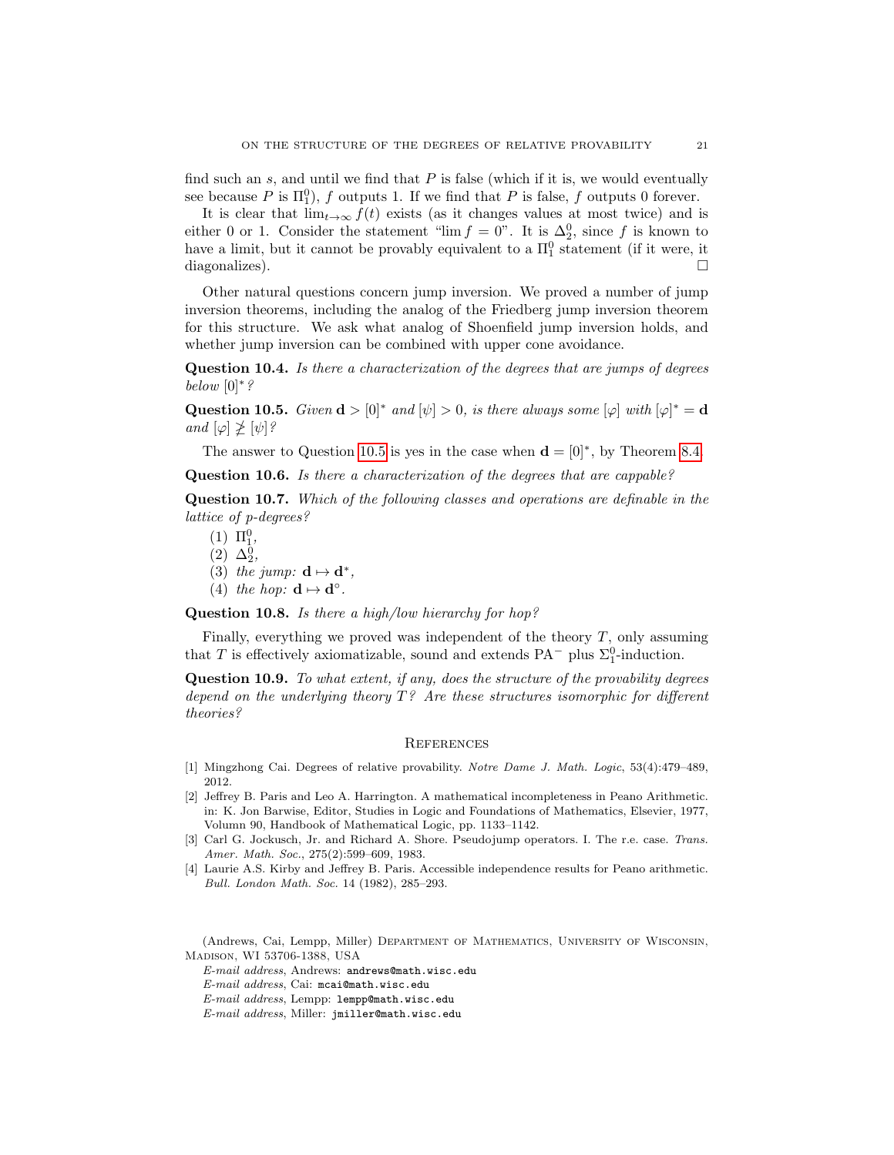find such an  $s$ , and until we find that  $P$  is false (which if it is, we would eventually see because P is  $\Pi_1^0$ , f outputs 1. If we find that P is false, f outputs 0 forever.

It is clear that  $\lim_{t\to\infty} f(t)$  exists (as it changes values at most twice) and is either 0 or 1. Consider the statement "lim  $f = 0$ ". It is  $\Delta_2^0$ , since f is known to have a limit, but it cannot be provably equivalent to a  $\Pi_1^0$  statement (if it were, it diagonalizes).

Other natural questions concern jump inversion. We proved a number of jump inversion theorems, including the analog of the Friedberg jump inversion theorem for this structure. We ask what analog of Shoenfield jump inversion holds, and whether jump inversion can be combined with upper cone avoidance.

Question 10.4. Is there a characterization of the degrees that are jumps of degrees below  $[0]^*$ ?

<span id="page-20-4"></span>Question 10.5. Given  $\mathbf{d} > [0]^*$  and  $[\psi] > 0$ , is there always some  $[\varphi]$  with  $[\varphi]^* = \mathbf{d}$ and  $[\varphi] \not\geq [\psi]$ ?

The answer to Question [10.5](#page-20-4) is yes in the case when  $\mathbf{d} = [0]^*$ , by Theorem [8.4.](#page-14-0)

Question 10.6. Is there a characterization of the degrees that are cappable?

Question 10.7. Which of the following classes and operations are definable in the lattice of p-degrees?

- $(1) \ \Pi_1^0,$  $(2) \Delta_2^0,$
- (3) the jump:  $\mathbf{d} \mapsto \mathbf{d}^*$ ,
- (4) the hop:  $\mathbf{d} \mapsto \mathbf{d}^{\circ}$ .

Question 10.8. Is there a high/low hierarchy for hop?

Finally, everything we proved was independent of the theory  $T$ , only assuming that T is effectively axiomatizable, sound and extends PA<sup> $-$ </sup> plus  $\Sigma_1^0$ -induction.

Question 10.9. To what extent, if any, does the structure of the provability degrees depend on the underlying theory  $T$ ? Are these structures isomorphic for different theories?

### **REFERENCES**

- <span id="page-20-2"></span>[1] Mingzhong Cai. Degrees of relative provability. Notre Dame J. Math. Logic, 53(4):479–489, 2012.
- <span id="page-20-0"></span>[2] Jeffrey B. Paris and Leo A. Harrington. A mathematical incompleteness in Peano Arithmetic. in: K. Jon Barwise, Editor, Studies in Logic and Foundations of Mathematics, Elsevier, 1977, Volumn 90, Handbook of Mathematical Logic, pp. 1133–1142.
- <span id="page-20-3"></span>[3] Carl G. Jockusch, Jr. and Richard A. Shore. Pseudojump operators. I. The r.e. case. Trans. Amer. Math. Soc., 275(2):599–609, 1983.
- <span id="page-20-1"></span>[4] Laurie A.S. Kirby and Jeffrey B. Paris. Accessible independence results for Peano arithmetic. Bull. London Math. Soc. 14 (1982), 285–293.

(Andrews, Cai, Lempp, Miller) Department of Mathematics, University of Wisconsin, Madison, WI 53706-1388, USA

E-mail address, Andrews: andrews@math.wisc.edu

E-mail address, Cai: mcai@math.wisc.edu

E-mail address, Lempp: lempp@math.wisc.edu

E-mail address, Miller: jmiller@math.wisc.edu